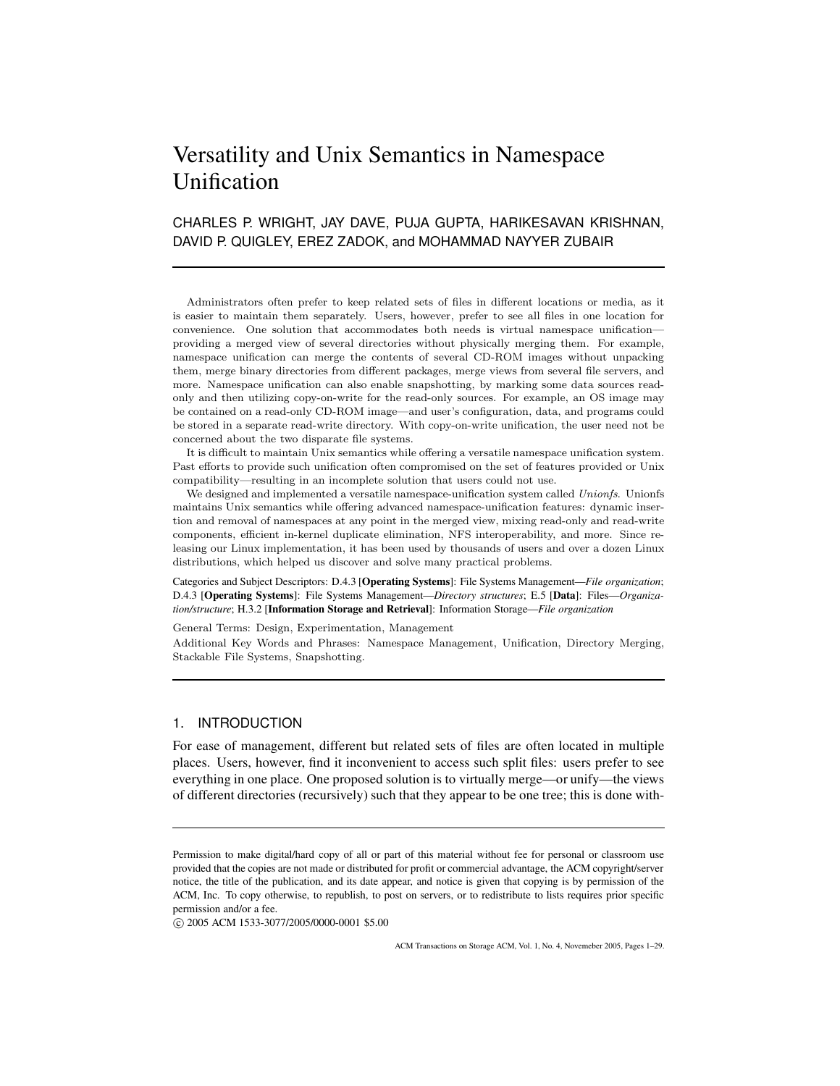# Versatility and Unix Semantics in Namespace Unification

# CHARLES P. WRIGHT, JAY DAVE, PUJA GUPTA, HARIKESAVAN KRISHNAN, DAVID P. QUIGLEY, EREZ ZADOK, and MOHAMMAD NAYYER ZUBAIR

Administrators often prefer to keep related sets of files in different locations or media, as it is easier to maintain them separately. Users, however, prefer to see all files in one location for convenience. One solution that accommodates both needs is virtual namespace unification providing a merged view of several directories without physically merging them. For example, namespace unification can merge the contents of several CD-ROM images without unpacking them, merge binary directories from different packages, merge views from several file servers, and more. Namespace unification can also enable snapshotting, by marking some data sources readonly and then utilizing copy-on-write for the read-only sources. For example, an OS image may be contained on a read-only CD-ROM image—and user's configuration, data, and programs could be stored in a separate read-write directory. With copy-on-write unification, the user need not be concerned about the two disparate file systems.

It is difficult to maintain Unix semantics while offering a versatile namespace unification system. Past efforts to provide such unification often compromised on the set of features provided or Unix compatibility—resulting in an incomplete solution that users could not use.

We designed and implemented a versatile namespace-unification system called Unionfs. Unionfs maintains Unix semantics while offering advanced namespace-unification features: dynamic insertion and removal of namespaces at any point in the merged view, mixing read-only and read-write components, efficient in-kernel duplicate elimination, NFS interoperability, and more. Since releasing our Linux implementation, it has been used by thousands of users and over a dozen Linux distributions, which helped us discover and solve many practical problems.

Categories and Subject Descriptors: D.4.3 [**Operating Systems**]: File Systems Management—*File organization*; D.4.3 [**Operating Systems**]: File Systems Management—*Directory structures*; E.5 [**Data**]: Files—*Organization/structure*; H.3.2 [**Information Storage and Retrieval**]: Information Storage—*File organization*

General Terms: Design, Experimentation, Management

Additional Key Words and Phrases: Namespace Management, Unification, Directory Merging, Stackable File Systems, Snapshotting.

# 1. INTRODUCTION

For ease of management, different but related sets of files are often located in multiple places. Users, however, find it inconvenient to access such split files: users prefer to see everything in one place. One proposed solution is to virtually merge—or unify—the views of different directories (recursively) such that they appear to be one tree; this is done with-

c 2005 ACM 1533-3077/2005/0000-0001 \$5.00

Permission to make digital/hard copy of all or part of this material without fee for personal or classroom use provided that the copies are not made or distributed for profit or commercial advantage, the ACM copyright/server notice, the title of the publication, and its date appear, and notice is given that copying is by permission of the ACM, Inc. To copy otherwise, to republish, to post on servers, or to redistribute to lists requires prior specific permission and/or a fee.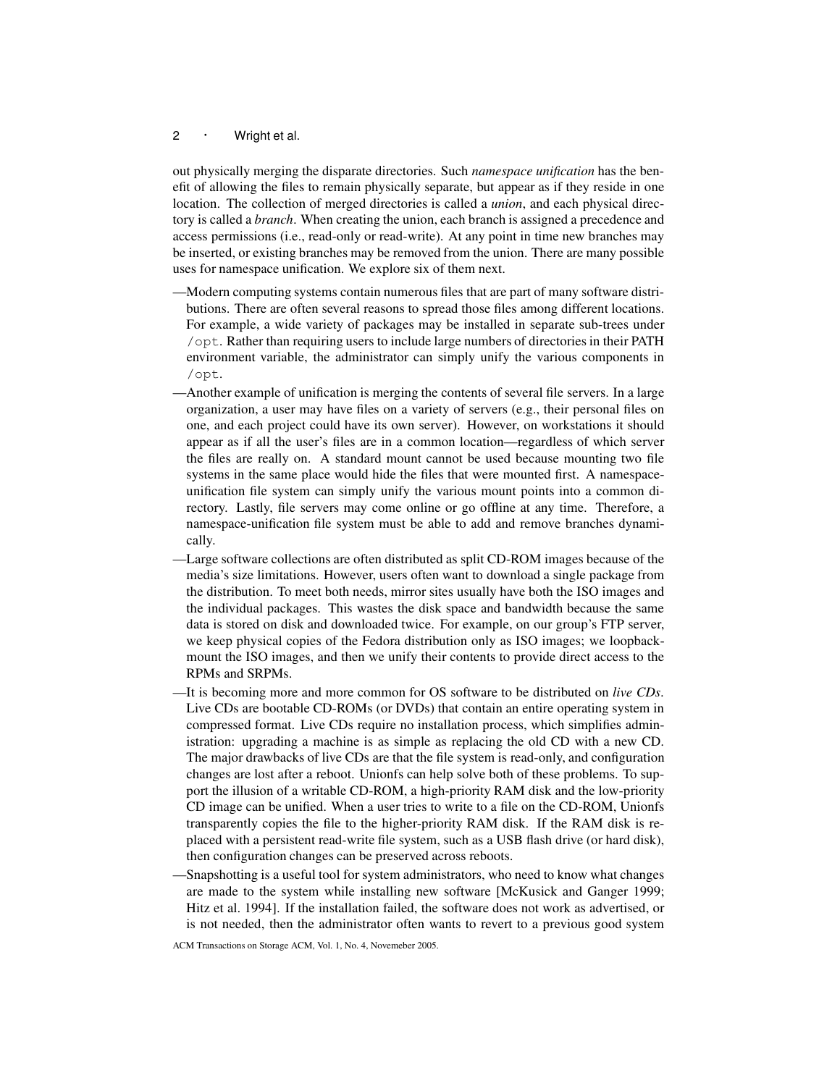out physically merging the disparate directories. Such *namespace unification* has the benefit of allowing the files to remain physically separate, but appear as if they reside in one location. The collection of merged directories is called a *union*, and each physical directory is called a *branch*. When creating the union, each branch is assigned a precedence and access permissions (i.e., read-only or read-write). At any point in time new branches may be inserted, or existing branches may be removed from the union. There are many possible uses for namespace unification. We explore six of them next.

- —Modern computing systems contain numerous files that are part of many software distributions. There are often several reasons to spread those files among different locations. For example, a wide variety of packages may be installed in separate sub-trees under /opt. Rather than requiring users to include large numbers of directories in their PATH environment variable, the administrator can simply unify the various components in /opt.
- —Another example of unification is merging the contents of several file servers. In a large organization, a user may have files on a variety of servers (e.g., their personal files on one, and each project could have its own server). However, on workstations it should appear as if all the user's files are in a common location—regardless of which server the files are really on. A standard mount cannot be used because mounting two file systems in the same place would hide the files that were mounted first. A namespaceunification file system can simply unify the various mount points into a common directory. Lastly, file servers may come online or go offline at any time. Therefore, a namespace-unification file system must be able to add and remove branches dynamically.
- —Large software collections are often distributed as split CD-ROM images because of the media's size limitations. However, users often want to download a single package from the distribution. To meet both needs, mirror sites usually have both the ISO images and the individual packages. This wastes the disk space and bandwidth because the same data is stored on disk and downloaded twice. For example, on our group's FTP server, we keep physical copies of the Fedora distribution only as ISO images; we loopbackmount the ISO images, and then we unify their contents to provide direct access to the RPMs and SRPMs.
- —It is becoming more and more common for OS software to be distributed on *live CDs*. Live CDs are bootable CD-ROMs (or DVDs) that contain an entire operating system in compressed format. Live CDs require no installation process, which simplifies administration: upgrading a machine is as simple as replacing the old CD with a new CD. The major drawbacks of live CDs are that the file system is read-only, and configuration changes are lost after a reboot. Unionfs can help solve both of these problems. To support the illusion of a writable CD-ROM, a high-priority RAM disk and the low-priority CD image can be unified. When a user tries to write to a file on the CD-ROM, Unionfs transparently copies the file to the higher-priority RAM disk. If the RAM disk is replaced with a persistent read-write file system, such as a USB flash drive (or hard disk), then configuration changes can be preserved across reboots.
- —Snapshotting is a useful tool for system administrators, who need to know what changes are made to the system while installing new software [McKusick and Ganger 1999; Hitz et al. 1994]. If the installation failed, the software does not work as advertised, or is not needed, then the administrator often wants to revert to a previous good system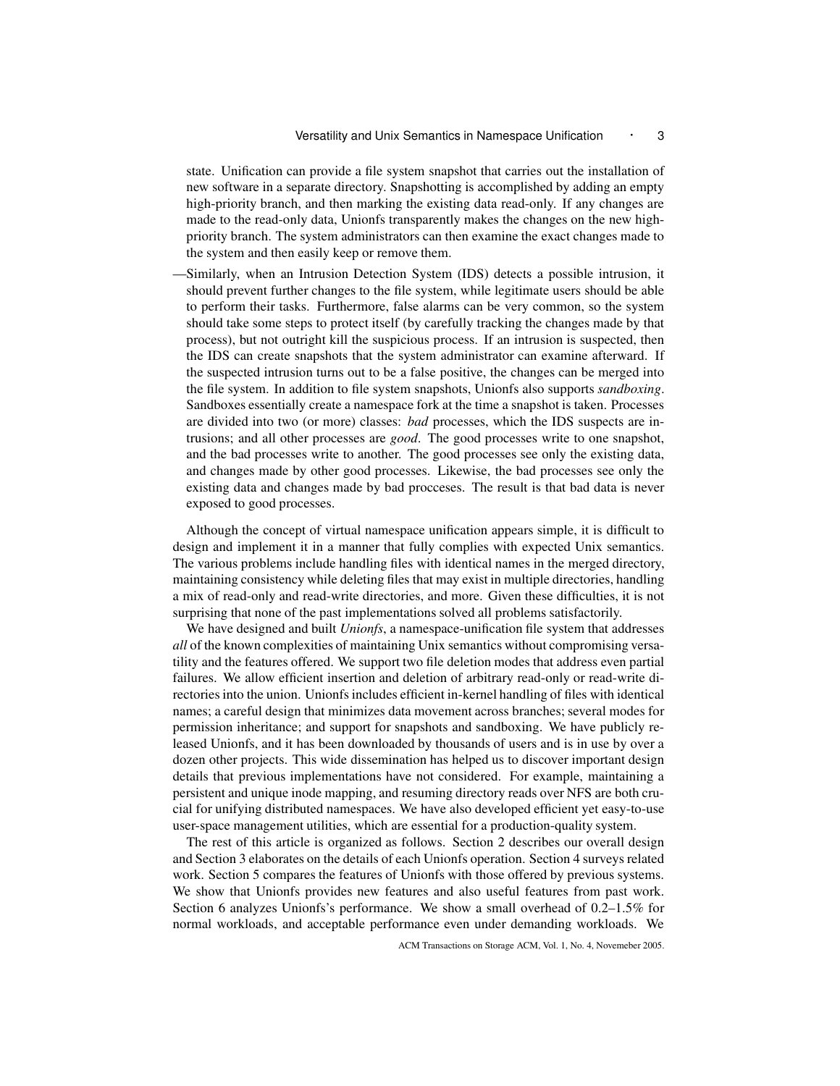state. Unification can provide a file system snapshot that carries out the installation of new software in a separate directory. Snapshotting is accomplished by adding an empty high-priority branch, and then marking the existing data read-only. If any changes are made to the read-only data, Unionfs transparently makes the changes on the new highpriority branch. The system administrators can then examine the exact changes made to the system and then easily keep or remove them.

—Similarly, when an Intrusion Detection System (IDS) detects a possible intrusion, it should prevent further changes to the file system, while legitimate users should be able to perform their tasks. Furthermore, false alarms can be very common, so the system should take some steps to protect itself (by carefully tracking the changes made by that process), but not outright kill the suspicious process. If an intrusion is suspected, then the IDS can create snapshots that the system administrator can examine afterward. If the suspected intrusion turns out to be a false positive, the changes can be merged into the file system. In addition to file system snapshots, Unionfs also supports *sandboxing*. Sandboxes essentially create a namespace fork at the time a snapshot is taken. Processes are divided into two (or more) classes: *bad* processes, which the IDS suspects are intrusions; and all other processes are *good*. The good processes write to one snapshot, and the bad processes write to another. The good processes see only the existing data, and changes made by other good processes. Likewise, the bad processes see only the existing data and changes made by bad procceses. The result is that bad data is never exposed to good processes.

Although the concept of virtual namespace unification appears simple, it is difficult to design and implement it in a manner that fully complies with expected Unix semantics. The various problems include handling files with identical names in the merged directory, maintaining consistency while deleting files that may exist in multiple directories, handling a mix of read-only and read-write directories, and more. Given these difficulties, it is not surprising that none of the past implementations solved all problems satisfactorily.

We have designed and built *Unionfs*, a namespace-unification file system that addresses *all* of the known complexities of maintaining Unix semantics without compromising versatility and the features offered. We support two file deletion modes that address even partial failures. We allow efficient insertion and deletion of arbitrary read-only or read-write directories into the union. Unionfs includes efficient in-kernel handling of files with identical names; a careful design that minimizes data movement across branches; several modes for permission inheritance; and support for snapshots and sandboxing. We have publicly released Unionfs, and it has been downloaded by thousands of users and is in use by over a dozen other projects. This wide dissemination has helped us to discover important design details that previous implementations have not considered. For example, maintaining a persistent and unique inode mapping, and resuming directory reads over NFS are both crucial for unifying distributed namespaces. We have also developed efficient yet easy-to-use user-space management utilities, which are essential for a production-quality system.

The rest of this article is organized as follows. Section 2 describes our overall design and Section 3 elaborates on the details of each Unionfs operation. Section 4 surveys related work. Section 5 compares the features of Unionfs with those offered by previous systems. We show that Unionfs provides new features and also useful features from past work. Section 6 analyzes Unionfs's performance. We show a small overhead of 0.2–1.5% for normal workloads, and acceptable performance even under demanding workloads. We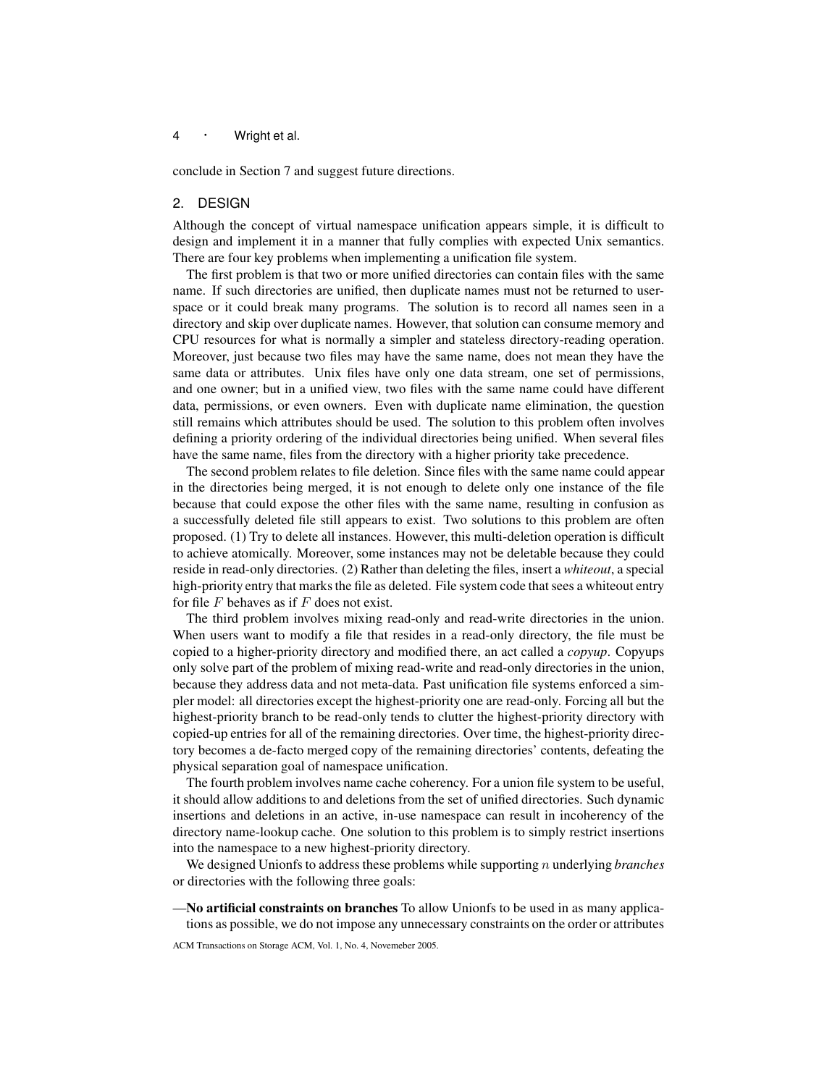conclude in Section 7 and suggest future directions.

# 2. DESIGN

Although the concept of virtual namespace unification appears simple, it is difficult to design and implement it in a manner that fully complies with expected Unix semantics. There are four key problems when implementing a unification file system.

The first problem is that two or more unified directories can contain files with the same name. If such directories are unified, then duplicate names must not be returned to userspace or it could break many programs. The solution is to record all names seen in a directory and skip over duplicate names. However, that solution can consume memory and CPU resources for what is normally a simpler and stateless directory-reading operation. Moreover, just because two files may have the same name, does not mean they have the same data or attributes. Unix files have only one data stream, one set of permissions, and one owner; but in a unified view, two files with the same name could have different data, permissions, or even owners. Even with duplicate name elimination, the question still remains which attributes should be used. The solution to this problem often involves defining a priority ordering of the individual directories being unified. When several files have the same name, files from the directory with a higher priority take precedence.

The second problem relates to file deletion. Since files with the same name could appear in the directories being merged, it is not enough to delete only one instance of the file because that could expose the other files with the same name, resulting in confusion as a successfully deleted file still appears to exist. Two solutions to this problem are often proposed. (1) Try to delete all instances. However, this multi-deletion operation is difficult to achieve atomically. Moreover, some instances may not be deletable because they could reside in read-only directories. (2) Rather than deleting the files, insert a *whiteout*, a special high-priority entry that marks the file as deleted. File system code that sees a whiteout entry for file  $F$  behaves as if  $F$  does not exist.

The third problem involves mixing read-only and read-write directories in the union. When users want to modify a file that resides in a read-only directory, the file must be copied to a higher-priority directory and modified there, an act called a *copyup*. Copyups only solve part of the problem of mixing read-write and read-only directories in the union, because they address data and not meta-data. Past unification file systems enforced a simpler model: all directories except the highest-priority one are read-only. Forcing all but the highest-priority branch to be read-only tends to clutter the highest-priority directory with copied-up entries for all of the remaining directories. Over time, the highest-priority directory becomes a de-facto merged copy of the remaining directories' contents, defeating the physical separation goal of namespace unification.

The fourth problem involves name cache coherency. For a union file system to be useful, it should allow additions to and deletions from the set of unified directories. Such dynamic insertions and deletions in an active, in-use namespace can result in incoherency of the directory name-lookup cache. One solution to this problem is to simply restrict insertions into the namespace to a new highest-priority directory.

We designed Unionfs to address these problems while supporting n underlying *branches* or directories with the following three goals:

—**No artificial constraints on branches** To allow Unionfs to be used in as many applications as possible, we do not impose any unnecessary constraints on the order or attributes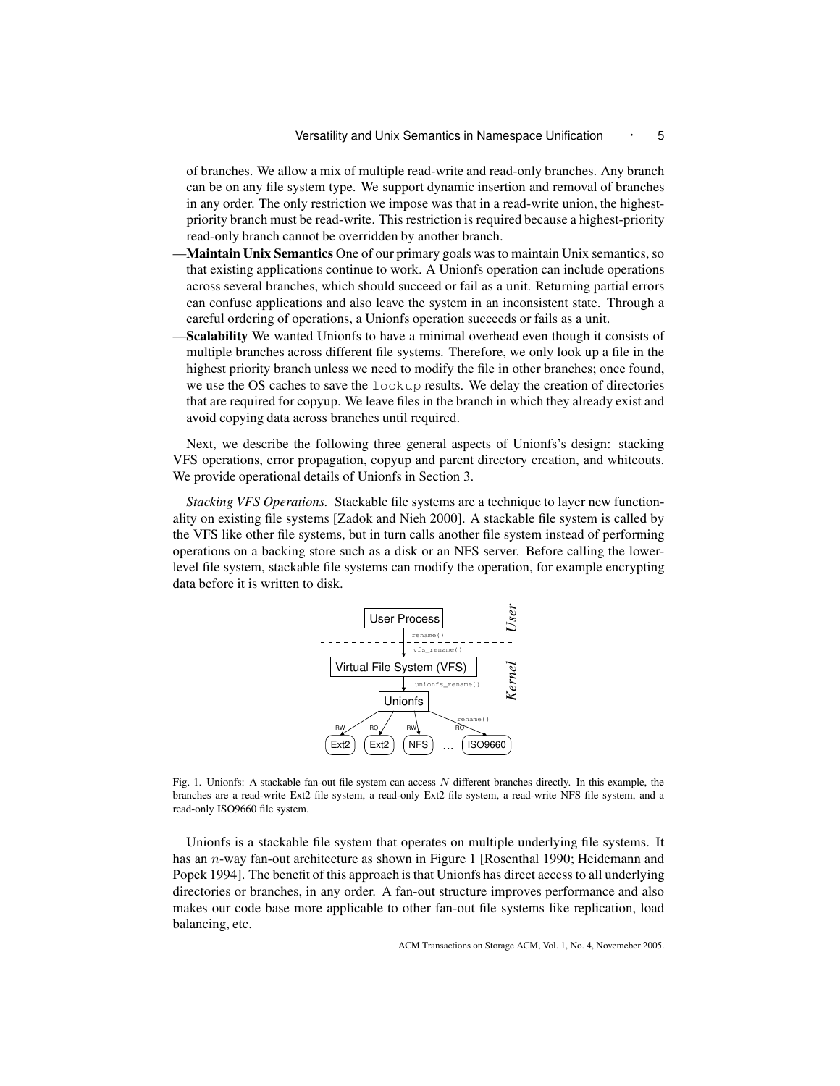of branches. We allow a mix of multiple read-write and read-only branches. Any branch can be on any file system type. We support dynamic insertion and removal of branches in any order. The only restriction we impose was that in a read-write union, the highestpriority branch must be read-write. This restriction is required because a highest-priority read-only branch cannot be overridden by another branch.

- —**Maintain Unix Semantics** One of our primary goals was to maintain Unix semantics, so that existing applications continue to work. A Unionfs operation can include operations across several branches, which should succeed or fail as a unit. Returning partial errors can confuse applications and also leave the system in an inconsistent state. Through a careful ordering of operations, a Unionfs operation succeeds or fails as a unit.
- —**Scalability** We wanted Unionfs to have a minimal overhead even though it consists of multiple branches across different file systems. Therefore, we only look up a file in the highest priority branch unless we need to modify the file in other branches; once found, we use the OS caches to save the lookup results. We delay the creation of directories that are required for copyup. We leave files in the branch in which they already exist and avoid copying data across branches until required.

Next, we describe the following three general aspects of Unionfs's design: stacking VFS operations, error propagation, copyup and parent directory creation, and whiteouts. We provide operational details of Unionfs in Section 3.

*Stacking VFS Operations.* Stackable file systems are a technique to layer new functionality on existing file systems [Zadok and Nieh 2000]. A stackable file system is called by the VFS like other file systems, but in turn calls another file system instead of performing operations on a backing store such as a disk or an NFS server. Before calling the lowerlevel file system, stackable file systems can modify the operation, for example encrypting data before it is written to disk.



Fig. 1. Unionfs: A stackable fan-out file system can access N different branches directly. In this example, the branches are a read-write Ext2 file system, a read-only Ext2 file system, a read-write NFS file system, and a read-only ISO9660 file system.

Unionfs is a stackable file system that operates on multiple underlying file systems. It has an n-way fan-out architecture as shown in Figure 1 [Rosenthal 1990; Heidemann and Popek 1994]. The benefit of this approach is that Unionfs has direct access to all underlying directories or branches, in any order. A fan-out structure improves performance and also makes our code base more applicable to other fan-out file systems like replication, load balancing, etc.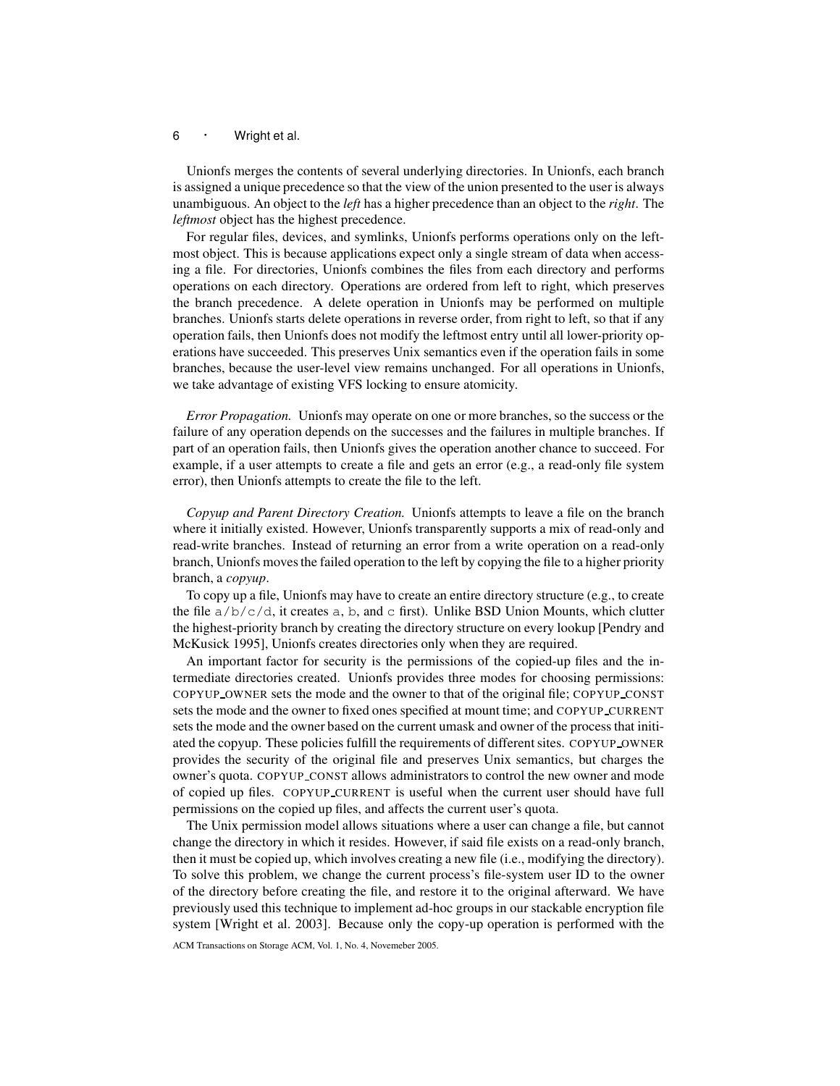Unionfs merges the contents of several underlying directories. In Unionfs, each branch is assigned a unique precedence so that the view of the union presented to the user is always unambiguous. An object to the *left* has a higher precedence than an object to the *right*. The *leftmost* object has the highest precedence.

For regular files, devices, and symlinks, Unionfs performs operations only on the leftmost object. This is because applications expect only a single stream of data when accessing a file. For directories, Unionfs combines the files from each directory and performs operations on each directory. Operations are ordered from left to right, which preserves the branch precedence. A delete operation in Unionfs may be performed on multiple branches. Unionfs starts delete operations in reverse order, from right to left, so that if any operation fails, then Unionfs does not modify the leftmost entry until all lower-priority operations have succeeded. This preserves Unix semantics even if the operation fails in some branches, because the user-level view remains unchanged. For all operations in Unionfs, we take advantage of existing VFS locking to ensure atomicity.

*Error Propagation.* Unionfs may operate on one or more branches, so the success or the failure of any operation depends on the successes and the failures in multiple branches. If part of an operation fails, then Unionfs gives the operation another chance to succeed. For example, if a user attempts to create a file and gets an error (e.g., a read-only file system error), then Unionfs attempts to create the file to the left.

*Copyup and Parent Directory Creation.* Unionfs attempts to leave a file on the branch where it initially existed. However, Unionfs transparently supports a mix of read-only and read-write branches. Instead of returning an error from a write operation on a read-only branch, Unionfs movesthe failed operation to the left by copying the file to a higher priority branch, a *copyup*.

To copy up a file, Unionfs may have to create an entire directory structure (e.g., to create the file  $a/b/c/d$ , it creates a, b, and c first). Unlike BSD Union Mounts, which clutter the highest-priority branch by creating the directory structure on every lookup [Pendry and McKusick 1995], Unionfs creates directories only when they are required.

An important factor for security is the permissions of the copied-up files and the intermediate directories created. Unionfs provides three modes for choosing permissions: COPYUP OWNER sets the mode and the owner to that of the original file; COPYUP CONST sets the mode and the owner to fixed ones specified at mount time; and COPYUP CURRENT sets the mode and the owner based on the current umask and owner of the process that initiated the copyup. These policies fulfill the requirements of different sites. COPYUP\_OWNER provides the security of the original file and preserves Unix semantics, but charges the owner's quota. COPYUP CONST allows administrators to control the new owner and mode of copied up files. COPYUP CURRENT is useful when the current user should have full permissions on the copied up files, and affects the current user's quota.

The Unix permission model allows situations where a user can change a file, but cannot change the directory in which it resides. However, if said file exists on a read-only branch, then it must be copied up, which involves creating a new file (i.e., modifying the directory). To solve this problem, we change the current process's file-system user ID to the owner of the directory before creating the file, and restore it to the original afterward. We have previously used this technique to implement ad-hoc groups in our stackable encryption file system [Wright et al. 2003]. Because only the copy-up operation is performed with the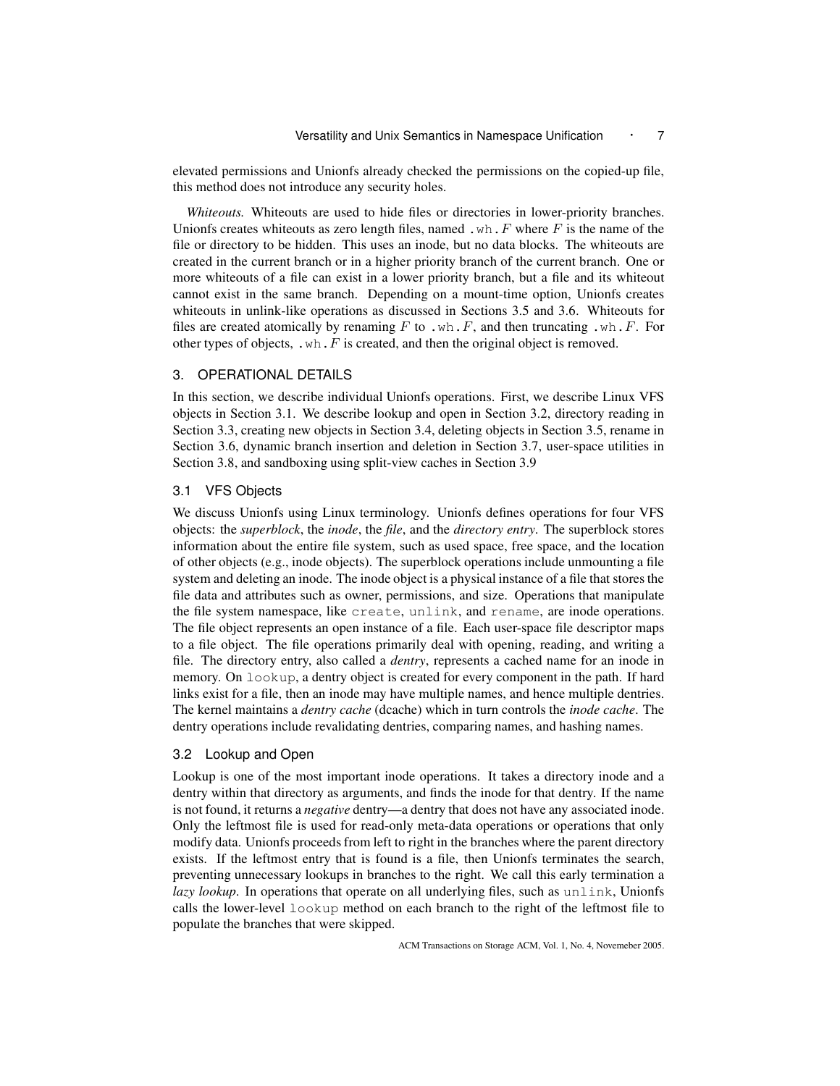elevated permissions and Unionfs already checked the permissions on the copied-up file, this method does not introduce any security holes.

*Whiteouts.* Whiteouts are used to hide files or directories in lower-priority branches. Unionfs creates whiteouts as zero length files, named  $\cdot$  wh. F where F is the name of the file or directory to be hidden. This uses an inode, but no data blocks. The whiteouts are created in the current branch or in a higher priority branch of the current branch. One or more whiteouts of a file can exist in a lower priority branch, but a file and its whiteout cannot exist in the same branch. Depending on a mount-time option, Unionfs creates whiteouts in unlink-like operations as discussed in Sections 3.5 and 3.6. Whiteouts for files are created atomically by renaming F to .wh. F, and then truncating .wh. F. For other types of objects,  $.$  wh.  $F$  is created, and then the original object is removed.

## 3. OPERATIONAL DETAILS

In this section, we describe individual Unionfs operations. First, we describe Linux VFS objects in Section 3.1. We describe lookup and open in Section 3.2, directory reading in Section 3.3, creating new objects in Section 3.4, deleting objects in Section 3.5, rename in Section 3.6, dynamic branch insertion and deletion in Section 3.7, user-space utilities in Section 3.8, and sandboxing using split-view caches in Section 3.9

## 3.1 VFS Objects

We discuss Unionfs using Linux terminology. Unionfs defines operations for four VFS objects: the *superblock*, the *inode*, the *file*, and the *directory entry*. The superblock stores information about the entire file system, such as used space, free space, and the location of other objects (e.g., inode objects). The superblock operations include unmounting a file system and deleting an inode. The inode object is a physical instance of a file that stores the file data and attributes such as owner, permissions, and size. Operations that manipulate the file system namespace, like create, unlink, and rename, are inode operations. The file object represents an open instance of a file. Each user-space file descriptor maps to a file object. The file operations primarily deal with opening, reading, and writing a file. The directory entry, also called a *dentry*, represents a cached name for an inode in memory. On lookup, a dentry object is created for every component in the path. If hard links exist for a file, then an inode may have multiple names, and hence multiple dentries. The kernel maintains a *dentry cache* (dcache) which in turn controls the *inode cache*. The dentry operations include revalidating dentries, comparing names, and hashing names.

# 3.2 Lookup and Open

Lookup is one of the most important inode operations. It takes a directory inode and a dentry within that directory as arguments, and finds the inode for that dentry. If the name is not found, it returns a *negative* dentry—a dentry that does not have any associated inode. Only the leftmost file is used for read-only meta-data operations or operations that only modify data. Unionfs proceeds from left to right in the branches where the parent directory exists. If the leftmost entry that is found is a file, then Unionfs terminates the search, preventing unnecessary lookups in branches to the right. We call this early termination a *lazy lookup*. In operations that operate on all underlying files, such as unlink, Unionfs calls the lower-level lookup method on each branch to the right of the leftmost file to populate the branches that were skipped.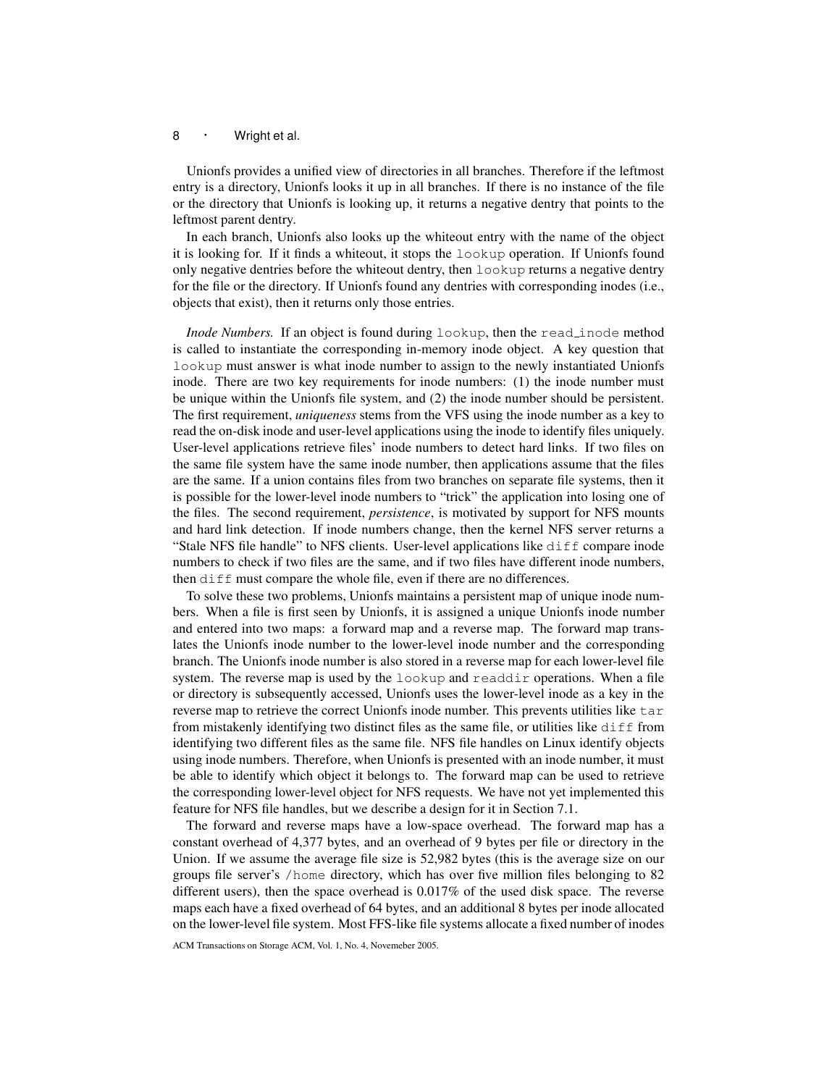Unionfs provides a unified view of directories in all branches. Therefore if the leftmost entry is a directory, Unionfs looks it up in all branches. If there is no instance of the file or the directory that Unionfs is looking up, it returns a negative dentry that points to the leftmost parent dentry.

In each branch, Unionfs also looks up the whiteout entry with the name of the object it is looking for. If it finds a whiteout, it stops the lookup operation. If Unionfs found only negative dentries before the whiteout dentry, then lookup returns a negative dentry for the file or the directory. If Unionfs found any dentries with corresponding inodes (i.e., objects that exist), then it returns only those entries.

*Inode Numbers.* If an object is found during lookup, then the read inode method is called to instantiate the corresponding in-memory inode object. A key question that lookup must answer is what inode number to assign to the newly instantiated Unionfs inode. There are two key requirements for inode numbers: (1) the inode number must be unique within the Unionfs file system, and (2) the inode number should be persistent. The first requirement, *uniqueness* stems from the VFS using the inode number as a key to read the on-disk inode and user-level applications using the inode to identify files uniquely. User-level applications retrieve files' inode numbers to detect hard links. If two files on the same file system have the same inode number, then applications assume that the files are the same. If a union contains files from two branches on separate file systems, then it is possible for the lower-level inode numbers to "trick" the application into losing one of the files. The second requirement, *persistence*, is motivated by support for NFS mounts and hard link detection. If inode numbers change, then the kernel NFS server returns a "Stale NFS file handle" to NFS clients. User-level applications like  $\text{diff}$  compare inode numbers to check if two files are the same, and if two files have different inode numbers, then diff must compare the whole file, even if there are no differences.

To solve these two problems, Unionfs maintains a persistent map of unique inode numbers. When a file is first seen by Unionfs, it is assigned a unique Unionfs inode number and entered into two maps: a forward map and a reverse map. The forward map translates the Unionfs inode number to the lower-level inode number and the corresponding branch. The Unionfs inode number is also stored in a reverse map for each lower-level file system. The reverse map is used by the lookup and readdir operations. When a file or directory is subsequently accessed, Unionfs uses the lower-level inode as a key in the reverse map to retrieve the correct Unionfs inode number. This prevents utilities like tar from mistakenly identifying two distinct files as the same file, or utilities like  $\text{diff}$  from identifying two different files as the same file. NFS file handles on Linux identify objects using inode numbers. Therefore, when Unionfs is presented with an inode number, it must be able to identify which object it belongs to. The forward map can be used to retrieve the corresponding lower-level object for NFS requests. We have not yet implemented this feature for NFS file handles, but we describe a design for it in Section 7.1.

The forward and reverse maps have a low-space overhead. The forward map has a constant overhead of 4,377 bytes, and an overhead of 9 bytes per file or directory in the Union. If we assume the average file size is 52,982 bytes (this is the average size on our groups file server's /home directory, which has over five million files belonging to 82 different users), then the space overhead is 0.017% of the used disk space. The reverse maps each have a fixed overhead of 64 bytes, and an additional 8 bytes per inode allocated on the lower-level file system. Most FFS-like file systems allocate a fixed number of inodes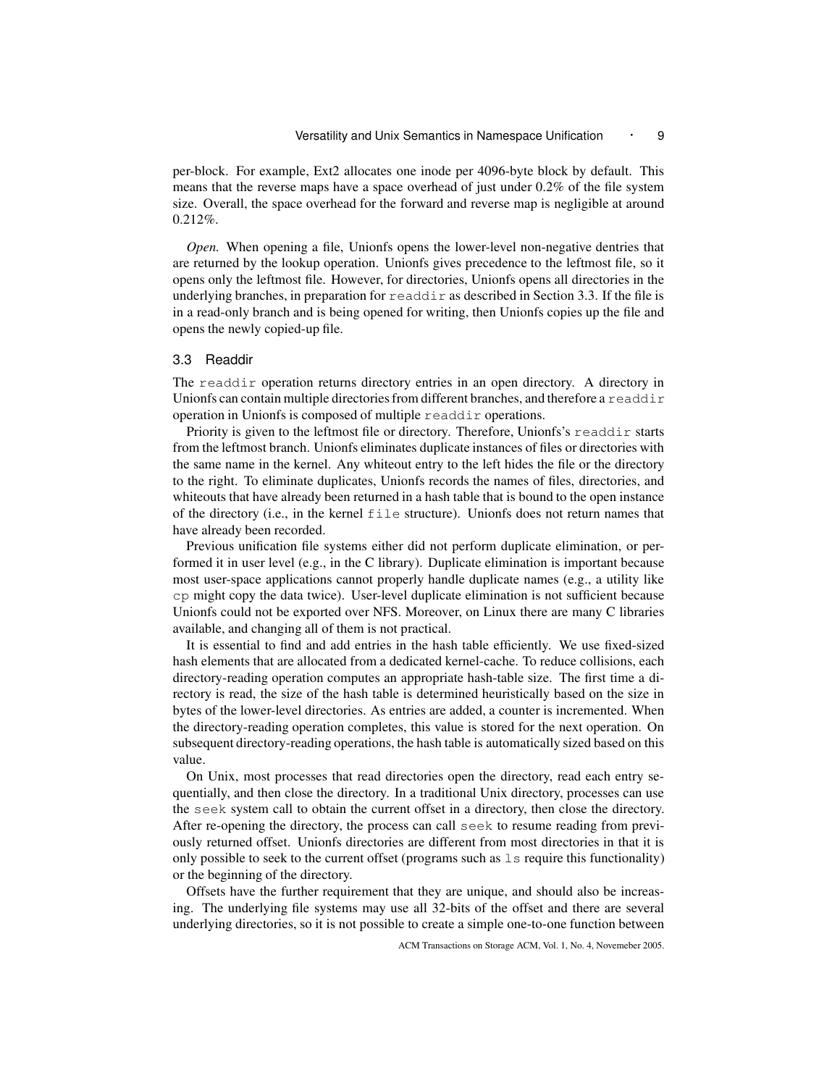per-block. For example, Ext2 allocates one inode per 4096-byte block by default. This means that the reverse maps have a space overhead of just under 0.2% of the file system size. Overall, the space overhead for the forward and reverse map is negligible at around 0.212%.

*Open.* When opening a file, Unionfs opens the lower-level non-negative dentries that are returned by the lookup operation. Unionfs gives precedence to the leftmost file, so it opens only the leftmost file. However, for directories, Unionfs opens all directories in the underlying branches, in preparation for readdir as described in Section 3.3. If the file is in a read-only branch and is being opened for writing, then Unionfs copies up the file and opens the newly copied-up file.

# 3.3 Readdir

The readdir operation returns directory entries in an open directory. A directory in Unionfs can contain multiple directories from different branches, and therefore a readdir operation in Unionfs is composed of multiple readdir operations.

Priority is given to the leftmost file or directory. Therefore, Unionfs's readdir starts from the leftmost branch. Unionfs eliminates duplicate instances of files or directories with the same name in the kernel. Any whiteout entry to the left hides the file or the directory to the right. To eliminate duplicates, Unionfs records the names of files, directories, and whiteouts that have already been returned in a hash table that is bound to the open instance of the directory (i.e., in the kernel  $f \in \text{let}$  is determined. Unionfs does not return names that have already been recorded.

Previous unification file systems either did not perform duplicate elimination, or performed it in user level (e.g., in the C library). Duplicate elimination is important because most user-space applications cannot properly handle duplicate names (e.g., a utility like cp might copy the data twice). User-level duplicate elimination is not sufficient because Unionfs could not be exported over NFS. Moreover, on Linux there are many C libraries available, and changing all of them is not practical.

It is essential to find and add entries in the hash table efficiently. We use fixed-sized hash elements that are allocated from a dedicated kernel-cache. To reduce collisions, each directory-reading operation computes an appropriate hash-table size. The first time a directory is read, the size of the hash table is determined heuristically based on the size in bytes of the lower-level directories. As entries are added, a counter is incremented. When the directory-reading operation completes, this value is stored for the next operation. On subsequent directory-reading operations, the hash table is automatically sized based on this value.

On Unix, most processes that read directories open the directory, read each entry sequentially, and then close the directory. In a traditional Unix directory, processes can use the seek system call to obtain the current offset in a directory, then close the directory. After re-opening the directory, the process can call seek to resume reading from previously returned offset. Unionfs directories are different from most directories in that it is only possible to seek to the current offset (programs such as  $\perp$  s require this functionality) or the beginning of the directory.

Offsets have the further requirement that they are unique, and should also be increasing. The underlying file systems may use all 32-bits of the offset and there are several underlying directories, so it is not possible to create a simple one-to-one function between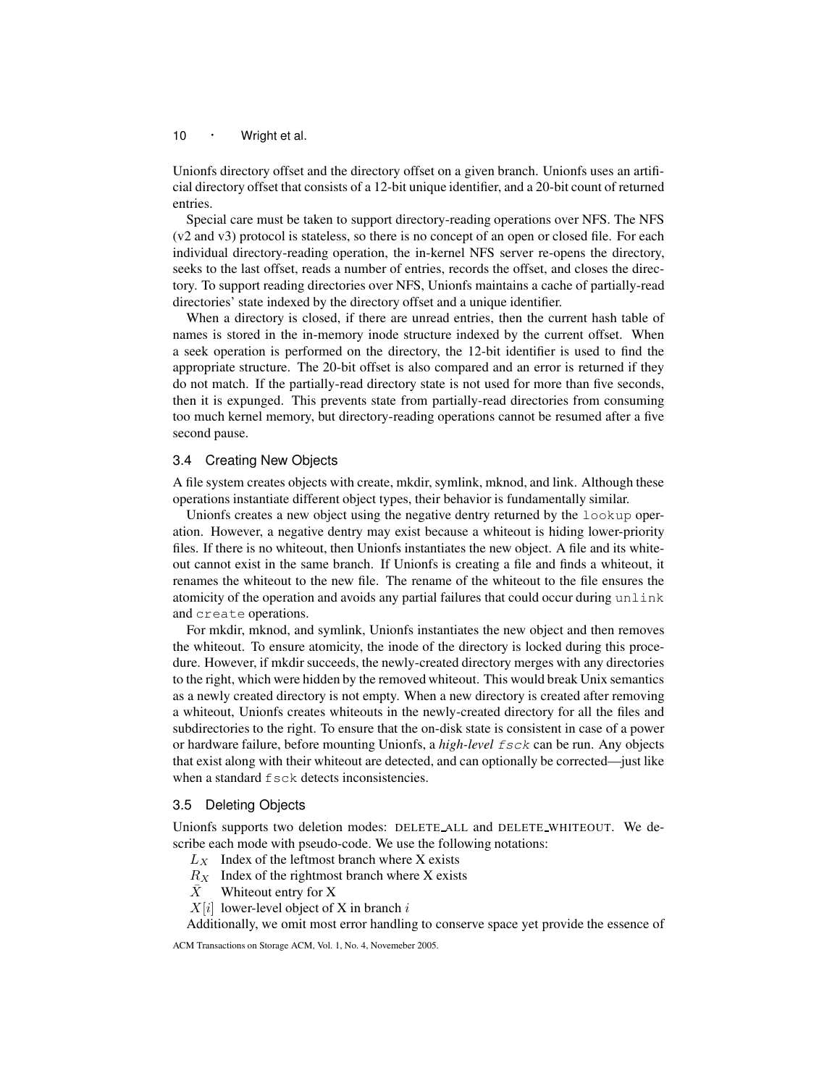Unionfs directory offset and the directory offset on a given branch. Unionfs uses an artificial directory offset that consists of a 12-bit unique identifier, and a 20-bit count of returned entries.

Special care must be taken to support directory-reading operations over NFS. The NFS (v2 and v3) protocol is stateless, so there is no concept of an open or closed file. For each individual directory-reading operation, the in-kernel NFS server re-opens the directory, seeks to the last offset, reads a number of entries, records the offset, and closes the directory. To support reading directories over NFS, Unionfs maintains a cache of partially-read directories' state indexed by the directory offset and a unique identifier.

When a directory is closed, if there are unread entries, then the current hash table of names is stored in the in-memory inode structure indexed by the current offset. When a seek operation is performed on the directory, the 12-bit identifier is used to find the appropriate structure. The 20-bit offset is also compared and an error is returned if they do not match. If the partially-read directory state is not used for more than five seconds, then it is expunged. This prevents state from partially-read directories from consuming too much kernel memory, but directory-reading operations cannot be resumed after a five second pause.

# 3.4 Creating New Objects

A file system creates objects with create, mkdir, symlink, mknod, and link. Although these operations instantiate different object types, their behavior is fundamentally similar.

Unionfs creates a new object using the negative dentry returned by the  $l$ ookup operation. However, a negative dentry may exist because a whiteout is hiding lower-priority files. If there is no whiteout, then Unionfs instantiates the new object. A file and its whiteout cannot exist in the same branch. If Unionfs is creating a file and finds a whiteout, it renames the whiteout to the new file. The rename of the whiteout to the file ensures the atomicity of the operation and avoids any partial failures that could occur during unlink and create operations.

For mkdir, mknod, and symlink, Unionfs instantiates the new object and then removes the whiteout. To ensure atomicity, the inode of the directory is locked during this procedure. However, if mkdir succeeds, the newly-created directory merges with any directories to the right, which were hidden by the removed whiteout. This would break Unix semantics as a newly created directory is not empty. When a new directory is created after removing a whiteout, Unionfs creates whiteouts in the newly-created directory for all the files and subdirectories to the right. To ensure that the on-disk state is consistent in case of a power or hardware failure, before mounting Unionfs, a *high-level* fsck can be run. Any objects that exist along with their whiteout are detected, and can optionally be corrected—just like when a standard  $f$  sck detects inconsistencies.

## 3.5 Deleting Objects

Unionfs supports two deletion modes: DELETE ALL and DELETE WHITEOUT. We describe each mode with pseudo-code. We use the following notations:

- $L_X$  Index of the leftmost branch where X exists
- $R_X$  Index of the rightmost branch where X exists
- $\overline{X}$  Whiteout entry for X
- $X[i]$  lower-level object of X in branch i

Additionally, we omit most error handling to conserve space yet provide the essence of

ACM Transactions on Storage ACM, Vol. 1, No. 4, Novemeber 2005.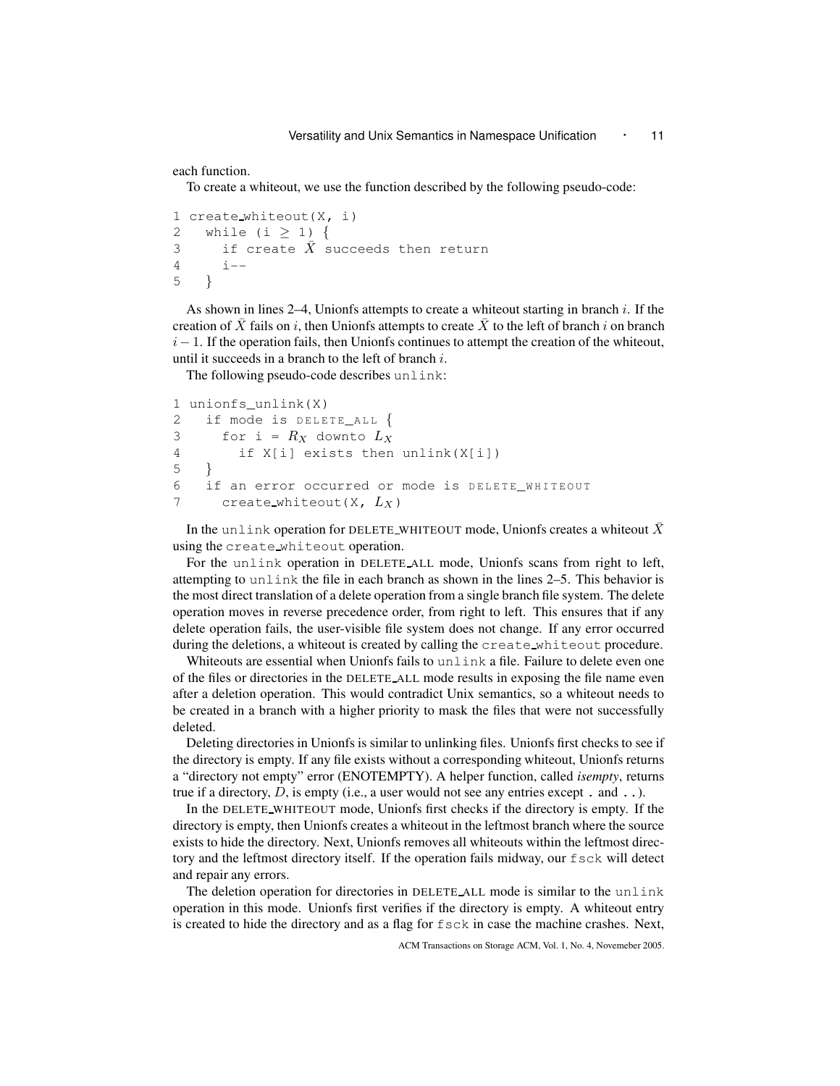each function.

To create a whiteout, we use the function described by the following pseudo-code:

```
1 create whiteout(X, i)
2 while (i \geq 1) {
3 if create \bar{X} succeeds then return
4 i--
5 }
```
As shown in lines 2–4, Unionfs attempts to create a whiteout starting in branch i. If the creation of  $\overline{X}$  fails on i, then Unionfs attempts to create  $\overline{X}$  to the left of branch i on branch  $i - 1$ . If the operation fails, then Unionfs continues to attempt the creation of the whiteout, until it succeeds in a branch to the left of branch i.

The following pseudo-code describes unlink:

```
1 unionfs_unlink(X)
2 if mode is DELETE_ALL \{3 for i = R_X downto L_X4 if X[i] exists then unlink(X[i])
5 }
6 if an error occurred or mode is DELETE WHITEOUT
7 create_whiteout(X, L_X)
```
In the unlink operation for DELETE WHITEOUT mode, Unionfs creates a whiteout  $X$ using the create whiteout operation.

For the unlink operation in DELETE ALL mode, Unionfs scans from right to left, attempting to unlink the file in each branch as shown in the lines 2–5. This behavior is the most direct translation of a delete operation from a single branch file system. The delete operation moves in reverse precedence order, from right to left. This ensures that if any delete operation fails, the user-visible file system does not change. If any error occurred during the deletions, a whiteout is created by calling the create whiteout procedure.

Whiteouts are essential when Unionfs fails to unlink a file. Failure to delete even one of the files or directories in the DELETE ALL mode results in exposing the file name even after a deletion operation. This would contradict Unix semantics, so a whiteout needs to be created in a branch with a higher priority to mask the files that were not successfully deleted.

Deleting directories in Unionfs is similar to unlinking files. Unionfs first checks to see if the directory is empty. If any file exists without a corresponding whiteout, Unionfs returns a "directory not empty" error (ENOTEMPTY). A helper function, called *isempty*, returns true if a directory,  $D$ , is empty (i.e., a user would not see any entries except. and ..).

In the DELETE WHITEOUT mode, Unionfs first checks if the directory is empty. If the directory is empty, then Unionfs creates a whiteout in the leftmost branch where the source exists to hide the directory. Next, Unionfs removes all whiteouts within the leftmost directory and the leftmost directory itself. If the operation fails midway, our fsck will detect and repair any errors.

The deletion operation for directories in DELETE ALL mode is similar to the unlink operation in this mode. Unionfs first verifies if the directory is empty. A whiteout entry is created to hide the directory and as a flag for fsck in case the machine crashes. Next,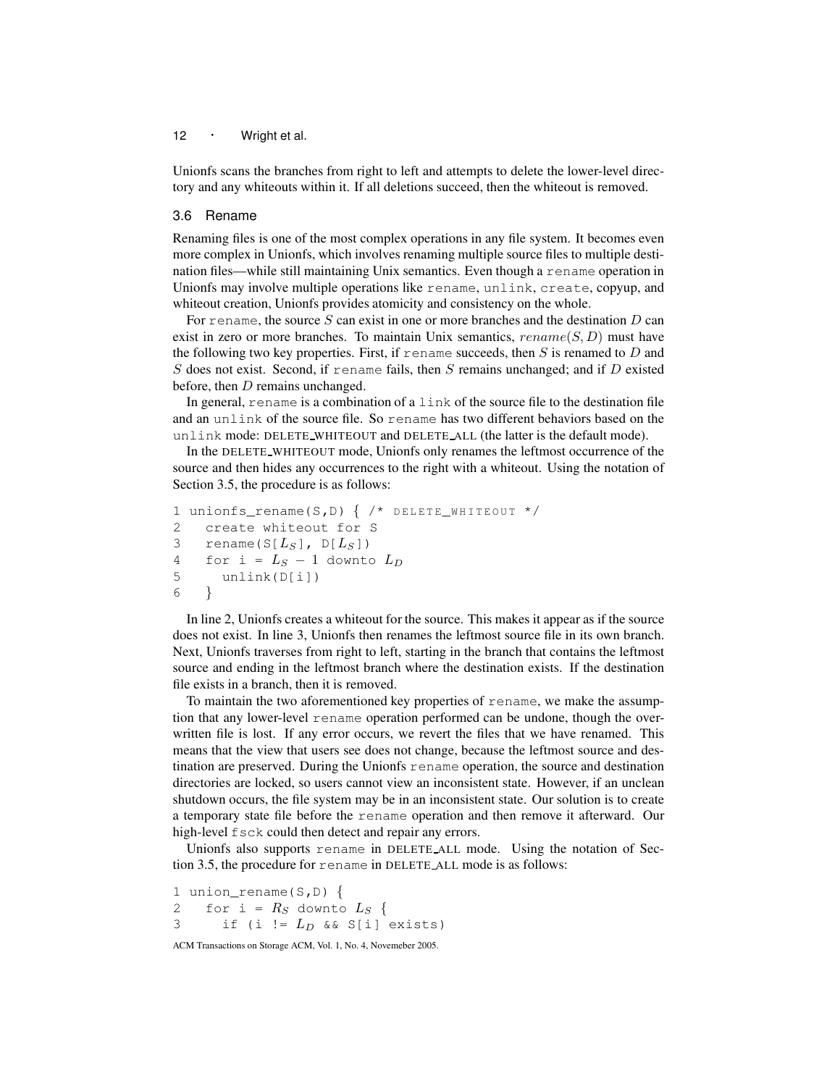Unionfs scans the branches from right to left and attempts to delete the lower-level directory and any whiteouts within it. If all deletions succeed, then the whiteout is removed.

## 3.6 Rename

Renaming files is one of the most complex operations in any file system. It becomes even more complex in Unionfs, which involves renaming multiple source files to multiple destination files—while still maintaining Unix semantics. Even though a rename operation in Unionfs may involve multiple operations like rename, unlink, create, copyup, and whiteout creation, Unionfs provides atomicity and consistency on the whole.

For rename, the source  $S$  can exist in one or more branches and the destination  $D$  can exist in zero or more branches. To maintain Unix semantics,  $rename(S, D)$  must have the following two key properties. First, if  $r =$  rename succeeds, then  $S$  is renamed to  $D$  and S does not exist. Second, if rename fails, then  $S$  remains unchanged; and if  $D$  existed before, then  $D$  remains unchanged.

In general, rename is a combination of a link of the source file to the destination file and an unlink of the source file. So rename has two different behaviors based on the unlink mode: DELETE WHITEOUT and DELETE ALL (the latter is the default mode).

In the DELETE WHITEOUT mode, Unionfs only renames the leftmost occurrence of the source and then hides any occurrences to the right with a whiteout. Using the notation of Section 3.5, the procedure is as follows:

```
1 unionfs_rename(S,D) \frac{1}{x} DELETE_WHITEOUT */
2 create whiteout for S
3 rename(S[L_S], D[L_S])
4 for i = L_S - 1 downto L_D5 unlink(D[i])
6 }
```
In line 2, Unionfs creates a whiteout for the source. This makes it appear as if the source does not exist. In line 3, Unionfs then renames the leftmost source file in its own branch. Next, Unionfs traverses from right to left, starting in the branch that contains the leftmost source and ending in the leftmost branch where the destination exists. If the destination file exists in a branch, then it is removed.

To maintain the two aforementioned key properties of rename, we make the assumption that any lower-level rename operation performed can be undone, though the overwritten file is lost. If any error occurs, we revert the files that we have renamed. This means that the view that users see does not change, because the leftmost source and destination are preserved. During the Unionfs rename operation, the source and destination directories are locked, so users cannot view an inconsistent state. However, if an unclean shutdown occurs, the file system may be in an inconsistent state. Our solution is to create a temporary state file before the rename operation and then remove it afterward. Our high-level  $f$  sck could then detect and repair any errors.

Unionfs also supports rename in DELETE ALL mode. Using the notation of Section 3.5, the procedure for rename in DELETE ALL mode is as follows:

```
1 union_rename(S,D) {
2 for i = R_S downto L_S {
3 if (i != L_D && S[i] exists)
```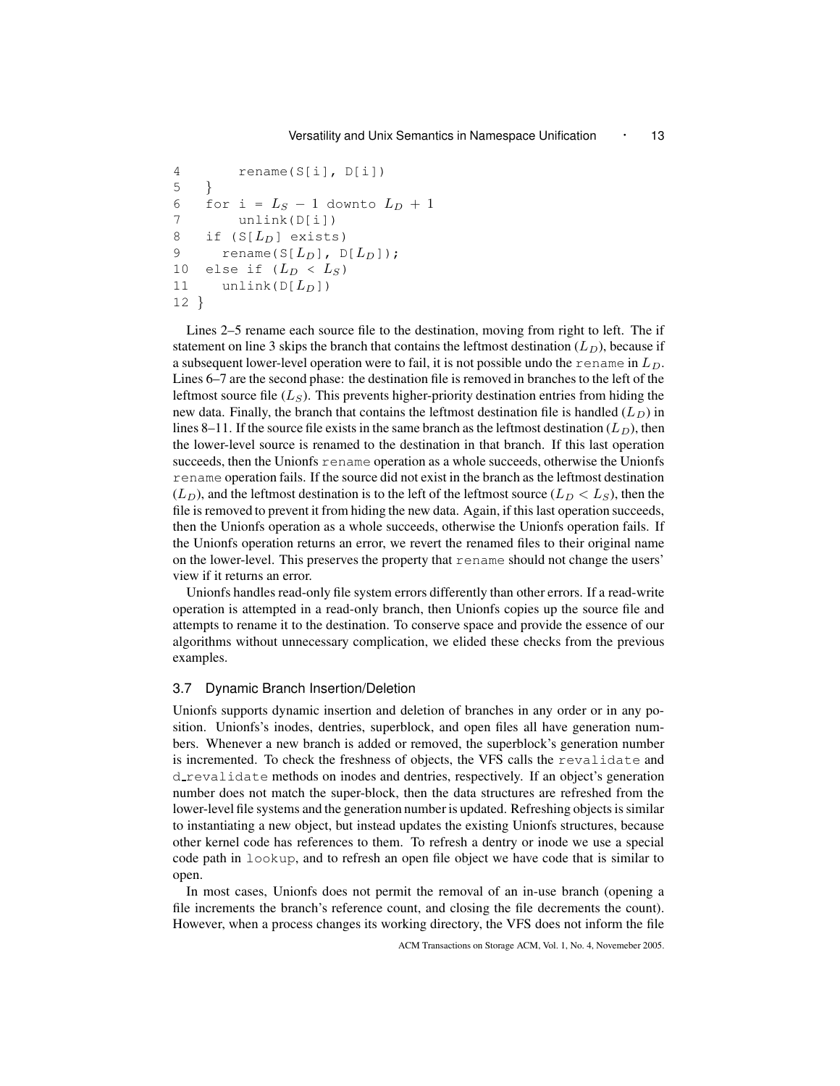```
4 rename(S[i], D[i])
5 }
6 for i = L_S - 1 downto L_D + 1<br>7 unlink(D[i])
        unlink(D[i])8 if (S[L_D] exists)
9 rename(S[L_D], D[L_D]);
10 else if (L_D < L_S)11 unlink(D[L_D])
12 }
```
Lines 2–5 rename each source file to the destination, moving from right to left. The if statement on line 3 skips the branch that contains the leftmost destination  $(L_D)$ , because if a subsequent lower-level operation were to fail, it is not possible undo the rename in  $L<sub>D</sub>$ . Lines 6–7 are the second phase: the destination file is removed in branches to the left of the leftmost source file  $(L<sub>S</sub>)$ . This prevents higher-priority destination entries from hiding the new data. Finally, the branch that contains the leftmost destination file is handled  $(L_D)$  in lines 8–11. If the source file exists in the same branch as the leftmost destination  $(L_D)$ , then the lower-level source is renamed to the destination in that branch. If this last operation succeeds, then the Unionfs rename operation as a whole succeeds, otherwise the Unionfs rename operation fails. If the source did not exist in the branch as the leftmost destination  $(L_D)$ , and the leftmost destination is to the left of the leftmost source  $(L_D < L_S)$ , then the file is removed to prevent it from hiding the new data. Again, if this last operation succeeds, then the Unionfs operation as a whole succeeds, otherwise the Unionfs operation fails. If the Unionfs operation returns an error, we revert the renamed files to their original name on the lower-level. This preserves the property that rename should not change the users' view if it returns an error.

Unionfs handles read-only file system errors differently than other errors. If a read-write operation is attempted in a read-only branch, then Unionfs copies up the source file and attempts to rename it to the destination. To conserve space and provide the essence of our algorithms without unnecessary complication, we elided these checks from the previous examples.

# 3.7 Dynamic Branch Insertion/Deletion

Unionfs supports dynamic insertion and deletion of branches in any order or in any position. Unionfs's inodes, dentries, superblock, and open files all have generation numbers. Whenever a new branch is added or removed, the superblock's generation number is incremented. To check the freshness of objects, the VFS calls the revalidate and d revalidate methods on inodes and dentries, respectively. If an object's generation number does not match the super-block, then the data structures are refreshed from the lower-level file systems and the generation number is updated. Refreshing objects is similar to instantiating a new object, but instead updates the existing Unionfs structures, because other kernel code has references to them. To refresh a dentry or inode we use a special code path in lookup, and to refresh an open file object we have code that is similar to open.

In most cases, Unionfs does not permit the removal of an in-use branch (opening a file increments the branch's reference count, and closing the file decrements the count). However, when a process changes its working directory, the VFS does not inform the file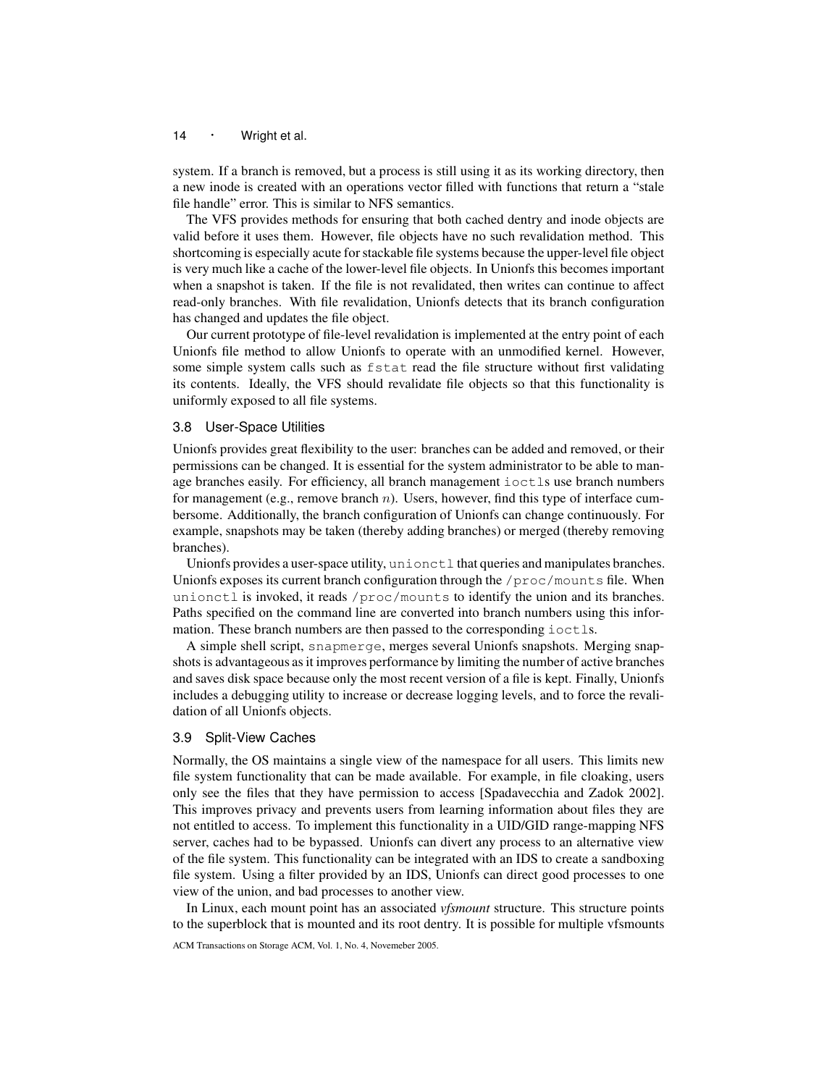system. If a branch is removed, but a process is still using it as its working directory, then a new inode is created with an operations vector filled with functions that return a "stale file handle" error. This is similar to NFS semantics.

The VFS provides methods for ensuring that both cached dentry and inode objects are valid before it uses them. However, file objects have no such revalidation method. This shortcoming is especially acute for stackable file systems because the upper-level file object is very much like a cache of the lower-level file objects. In Unionfs this becomes important when a snapshot is taken. If the file is not revalidated, then writes can continue to affect read-only branches. With file revalidation, Unionfs detects that its branch configuration has changed and updates the file object.

Our current prototype of file-level revalidation is implemented at the entry point of each Unionfs file method to allow Unionfs to operate with an unmodified kernel. However, some simple system calls such as fstat read the file structure without first validating its contents. Ideally, the VFS should revalidate file objects so that this functionality is uniformly exposed to all file systems.

## 3.8 User-Space Utilities

Unionfs provides great flexibility to the user: branches can be added and removed, or their permissions can be changed. It is essential for the system administrator to be able to manage branches easily. For efficiency, all branch management ioctls use branch numbers for management (e.g., remove branch  $n$ ). Users, however, find this type of interface cumbersome. Additionally, the branch configuration of Unionfs can change continuously. For example, snapshots may be taken (thereby adding branches) or merged (thereby removing branches).

Unionfs provides a user-space utility,  $unionct1$  that queries and manipulates branches. Unionfs exposes its current branch configuration through the /proc/mounts file. When unionctl is invoked, it reads  $/$   $\text{proc/mounts}$  to identify the union and its branches. Paths specified on the command line are converted into branch numbers using this information. These branch numbers are then passed to the corresponding  $i$  octls.

A simple shell script, snapmerge, merges several Unionfs snapshots. Merging snapshots is advantageous as it improves performance by limiting the number of active branches and saves disk space because only the most recent version of a file is kept. Finally, Unionfs includes a debugging utility to increase or decrease logging levels, and to force the revalidation of all Unionfs objects.

# 3.9 Split-View Caches

Normally, the OS maintains a single view of the namespace for all users. This limits new file system functionality that can be made available. For example, in file cloaking, users only see the files that they have permission to access [Spadavecchia and Zadok 2002]. This improves privacy and prevents users from learning information about files they are not entitled to access. To implement this functionality in a UID/GID range-mapping NFS server, caches had to be bypassed. Unionfs can divert any process to an alternative view of the file system. This functionality can be integrated with an IDS to create a sandboxing file system. Using a filter provided by an IDS, Unionfs can direct good processes to one view of the union, and bad processes to another view.

In Linux, each mount point has an associated *vfsmount* structure. This structure points to the superblock that is mounted and its root dentry. It is possible for multiple vfsmounts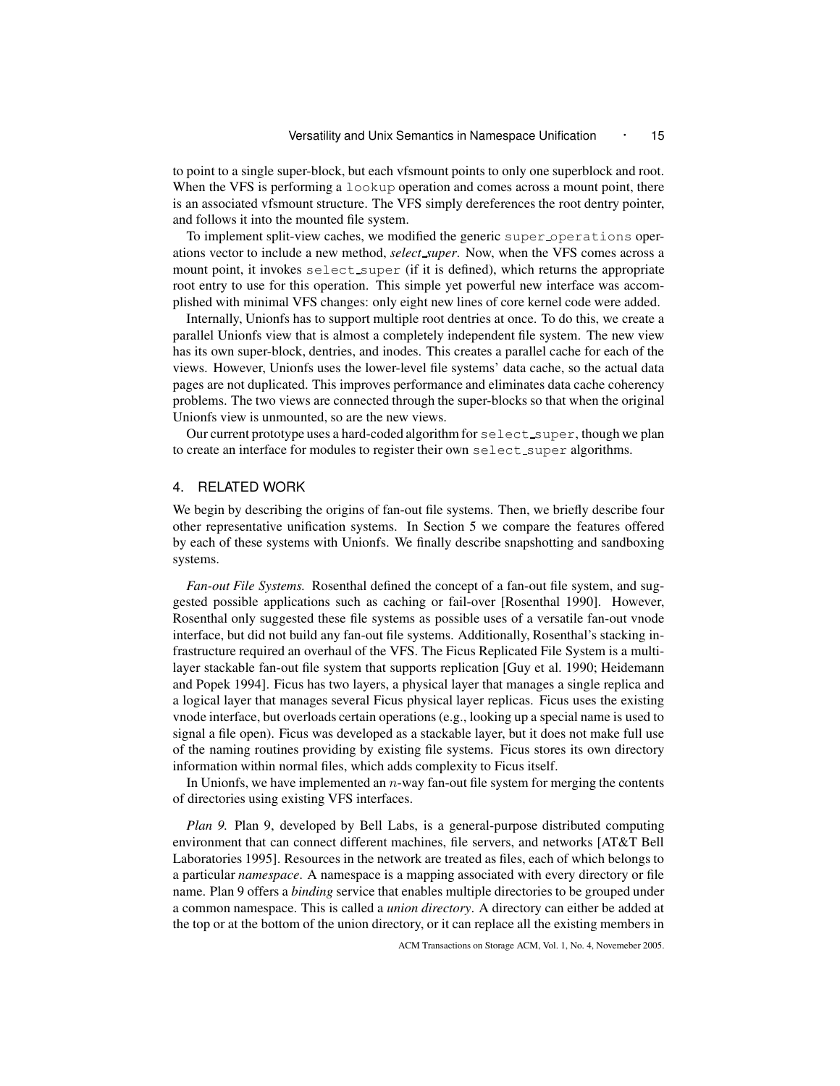to point to a single super-block, but each vfsmount points to only one superblock and root. When the VFS is performing a lookup operation and comes across a mount point, there is an associated vfsmount structure. The VFS simply dereferences the root dentry pointer, and follows it into the mounted file system.

To implement split-view caches, we modified the generic super-operations operations vector to include a new method, *select super*. Now, when the VFS comes across a mount point, it invokes select\_super (if it is defined), which returns the appropriate root entry to use for this operation. This simple yet powerful new interface was accomplished with minimal VFS changes: only eight new lines of core kernel code were added.

Internally, Unionfs has to support multiple root dentries at once. To do this, we create a parallel Unionfs view that is almost a completely independent file system. The new view has its own super-block, dentries, and inodes. This creates a parallel cache for each of the views. However, Unionfs uses the lower-level file systems' data cache, so the actual data pages are not duplicated. This improves performance and eliminates data cache coherency problems. The two views are connected through the super-blocks so that when the original Unionfs view is unmounted, so are the new views.

Our current prototype uses a hard-coded algorithm for  $select\_super$ , though we plan to create an interface for modules to register their own select super algorithms.

## 4. RELATED WORK

We begin by describing the origins of fan-out file systems. Then, we briefly describe four other representative unification systems. In Section 5 we compare the features offered by each of these systems with Unionfs. We finally describe snapshotting and sandboxing systems.

*Fan-out File Systems.* Rosenthal defined the concept of a fan-out file system, and suggested possible applications such as caching or fail-over [Rosenthal 1990]. However, Rosenthal only suggested these file systems as possible uses of a versatile fan-out vnode interface, but did not build any fan-out file systems. Additionally, Rosenthal's stacking infrastructure required an overhaul of the VFS. The Ficus Replicated File System is a multilayer stackable fan-out file system that supports replication [Guy et al. 1990; Heidemann and Popek 1994]. Ficus has two layers, a physical layer that manages a single replica and a logical layer that manages several Ficus physical layer replicas. Ficus uses the existing vnode interface, but overloads certain operations (e.g., looking up a special name is used to signal a file open). Ficus was developed as a stackable layer, but it does not make full use of the naming routines providing by existing file systems. Ficus stores its own directory information within normal files, which adds complexity to Ficus itself.

In Unionfs, we have implemented an  $n$ -way fan-out file system for merging the contents of directories using existing VFS interfaces.

*Plan 9.* Plan 9, developed by Bell Labs, is a general-purpose distributed computing environment that can connect different machines, file servers, and networks [AT&T Bell Laboratories 1995]. Resources in the network are treated as files, each of which belongs to a particular *namespace*. A namespace is a mapping associated with every directory or file name. Plan 9 offers a *binding* service that enables multiple directories to be grouped under a common namespace. This is called a *union directory*. A directory can either be added at the top or at the bottom of the union directory, or it can replace all the existing members in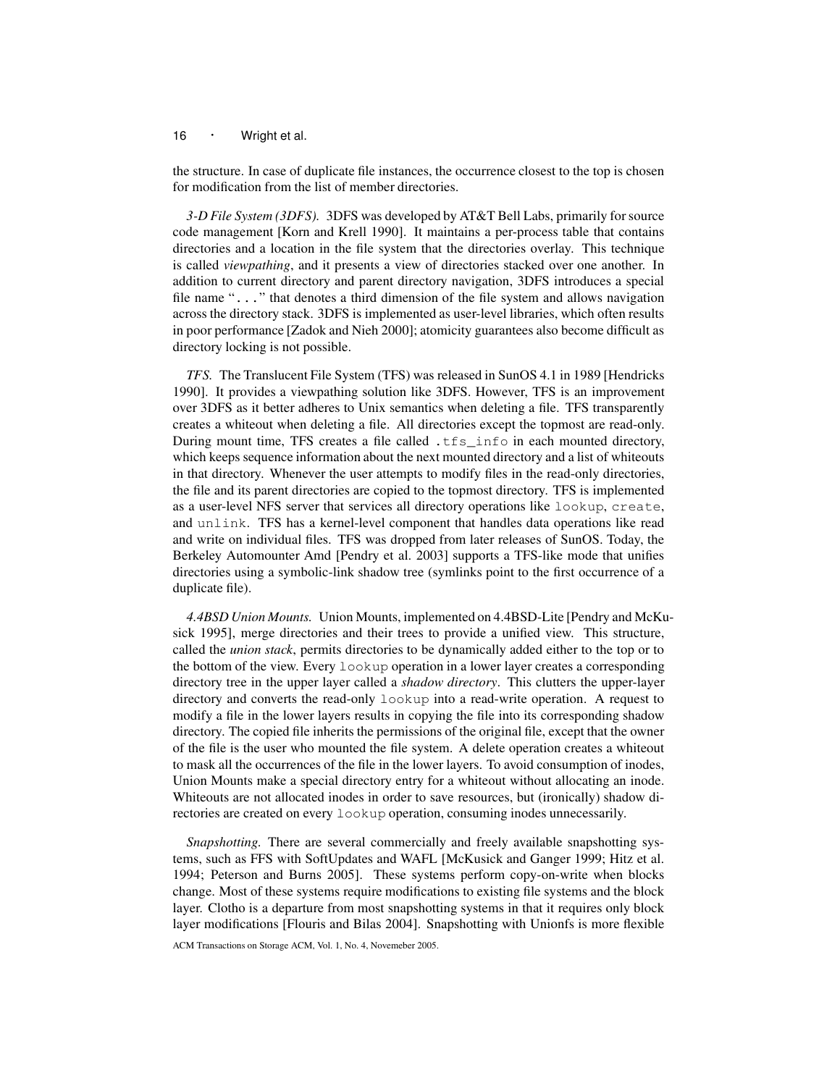the structure. In case of duplicate file instances, the occurrence closest to the top is chosen for modification from the list of member directories.

*3-D File System (3DFS).* 3DFS was developed by AT&T Bell Labs, primarily forsource code management [Korn and Krell 1990]. It maintains a per-process table that contains directories and a location in the file system that the directories overlay. This technique is called *viewpathing*, and it presents a view of directories stacked over one another. In addition to current directory and parent directory navigation, 3DFS introduces a special file name " $\dots$ " that denotes a third dimension of the file system and allows navigation across the directory stack. 3DFS is implemented as user-level libraries, which often results in poor performance [Zadok and Nieh 2000]; atomicity guarantees also become difficult as directory locking is not possible.

*TFS.* The Translucent File System (TFS) was released in SunOS 4.1 in 1989 [Hendricks 1990]. It provides a viewpathing solution like 3DFS. However, TFS is an improvement over 3DFS as it better adheres to Unix semantics when deleting a file. TFS transparently creates a whiteout when deleting a file. All directories except the topmost are read-only. During mount time, TFS creates a file called .tfs info in each mounted directory, which keeps sequence information about the next mounted directory and a list of whiteouts in that directory. Whenever the user attempts to modify files in the read-only directories, the file and its parent directories are copied to the topmost directory. TFS is implemented as a user-level NFS server that services all directory operations like lookup, create, and unlink. TFS has a kernel-level component that handles data operations like read and write on individual files. TFS was dropped from later releases of SunOS. Today, the Berkeley Automounter Amd [Pendry et al. 2003] supports a TFS-like mode that unifies directories using a symbolic-link shadow tree (symlinks point to the first occurrence of a duplicate file).

*4.4BSD Union Mounts.* Union Mounts, implemented on 4.4BSD-Lite [Pendry and McKusick 1995], merge directories and their trees to provide a unified view. This structure, called the *union stack*, permits directories to be dynamically added either to the top or to the bottom of the view. Every lookup operation in a lower layer creates a corresponding directory tree in the upper layer called a *shadow directory*. This clutters the upper-layer directory and converts the read-only lookup into a read-write operation. A request to modify a file in the lower layers results in copying the file into its corresponding shadow directory. The copied file inherits the permissions of the original file, except that the owner of the file is the user who mounted the file system. A delete operation creates a whiteout to mask all the occurrences of the file in the lower layers. To avoid consumption of inodes, Union Mounts make a special directory entry for a whiteout without allocating an inode. Whiteouts are not allocated inodes in order to save resources, but (ironically) shadow directories are created on every lookup operation, consuming inodes unnecessarily.

*Snapshotting.* There are several commercially and freely available snapshotting systems, such as FFS with SoftUpdates and WAFL [McKusick and Ganger 1999; Hitz et al. 1994; Peterson and Burns 2005]. These systems perform copy-on-write when blocks change. Most of these systems require modifications to existing file systems and the block layer. Clotho is a departure from most snapshotting systems in that it requires only block layer modifications [Flouris and Bilas 2004]. Snapshotting with Unionfs is more flexible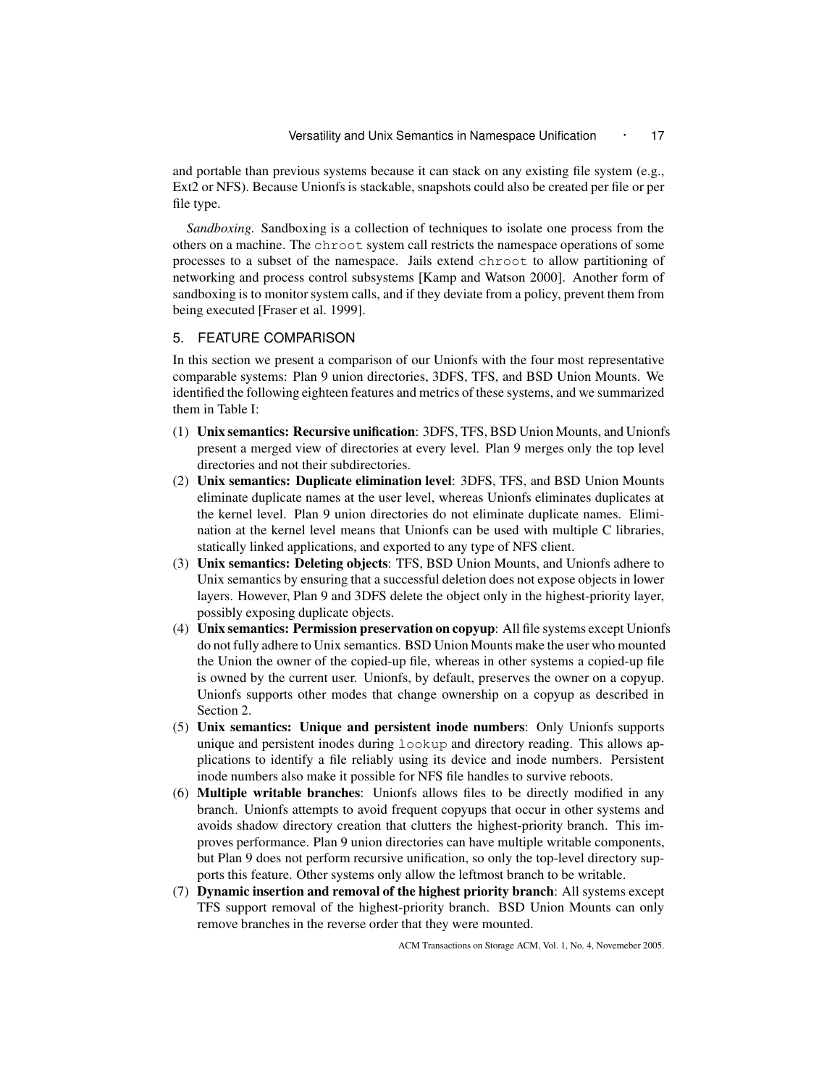and portable than previous systems because it can stack on any existing file system (e.g., Ext2 or NFS). Because Unionfs is stackable, snapshots could also be created per file or per file type.

*Sandboxing.* Sandboxing is a collection of techniques to isolate one process from the others on a machine. The chroot system call restricts the namespace operations of some processes to a subset of the namespace. Jails extend chroot to allow partitioning of networking and process control subsystems [Kamp and Watson 2000]. Another form of sandboxing is to monitor system calls, and if they deviate from a policy, prevent them from being executed [Fraser et al. 1999].

## 5. FEATURE COMPARISON

In this section we present a comparison of our Unionfs with the four most representative comparable systems: Plan 9 union directories, 3DFS, TFS, and BSD Union Mounts. We identified the following eighteen features and metrics of these systems, and we summarized them in Table I:

- (1) **Unix semantics: Recursive unification**: 3DFS, TFS, BSD Union Mounts, and Unionfs present a merged view of directories at every level. Plan 9 merges only the top level directories and not their subdirectories.
- (2) **Unix semantics: Duplicate elimination level**: 3DFS, TFS, and BSD Union Mounts eliminate duplicate names at the user level, whereas Unionfs eliminates duplicates at the kernel level. Plan 9 union directories do not eliminate duplicate names. Elimination at the kernel level means that Unionfs can be used with multiple C libraries, statically linked applications, and exported to any type of NFS client.
- (3) **Unix semantics: Deleting objects**: TFS, BSD Union Mounts, and Unionfs adhere to Unix semantics by ensuring that a successful deletion does not expose objects in lower layers. However, Plan 9 and 3DFS delete the object only in the highest-priority layer, possibly exposing duplicate objects.
- (4) **Unix semantics: Permission preservation on copyup**: All file systems except Unionfs do not fully adhere to Unix semantics. BSD Union Mounts make the user who mounted the Union the owner of the copied-up file, whereas in other systems a copied-up file is owned by the current user. Unionfs, by default, preserves the owner on a copyup. Unionfs supports other modes that change ownership on a copyup as described in Section 2.
- (5) **Unix semantics: Unique and persistent inode numbers**: Only Unionfs supports unique and persistent inodes during lookup and directory reading. This allows applications to identify a file reliably using its device and inode numbers. Persistent inode numbers also make it possible for NFS file handles to survive reboots.
- (6) **Multiple writable branches**: Unionfs allows files to be directly modified in any branch. Unionfs attempts to avoid frequent copyups that occur in other systems and avoids shadow directory creation that clutters the highest-priority branch. This improves performance. Plan 9 union directories can have multiple writable components, but Plan 9 does not perform recursive unification, so only the top-level directory supports this feature. Other systems only allow the leftmost branch to be writable.
- (7) **Dynamic insertion and removal of the highest priority branch**: All systems except TFS support removal of the highest-priority branch. BSD Union Mounts can only remove branches in the reverse order that they were mounted.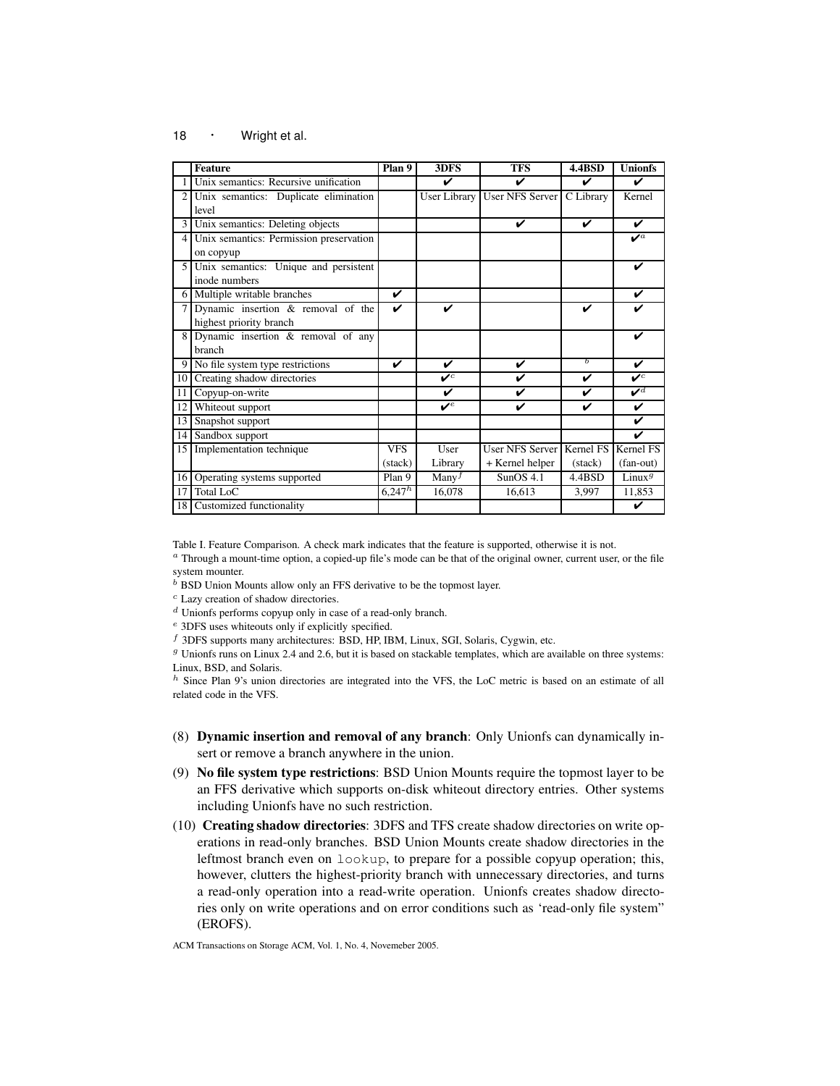|                | <b>Feature</b>                          | Plan 9     | 3DFS                      | <b>TFS</b>             | <b>4.4BSD</b> | <b>Unionfs</b>             |
|----------------|-----------------------------------------|------------|---------------------------|------------------------|---------------|----------------------------|
|                | Unix semantics: Recursive unification   |            | ✓                         | ✔                      | ✓             | ✓                          |
| 2 <sup>1</sup> | Unix semantics: Duplicate elimination   |            | <b>User Library</b>       | <b>User NFS Server</b> | C Library     | Kernel                     |
|                | level                                   |            |                           |                        |               |                            |
| 3 I            | Unix semantics: Deleting objects        |            |                           | ✓                      | ✓             | ✓                          |
|                | Unix semantics: Permission preservation |            |                           |                        |               | $\boldsymbol{\nu}^a$       |
|                | on copyup                               |            |                           |                        |               |                            |
|                | 5 Unix semantics: Unique and persistent |            |                           |                        |               | ✓                          |
|                | inode numbers                           |            |                           |                        |               |                            |
|                | 6 Multiple writable branches            | ✓          |                           |                        |               | ✓                          |
|                | Dynamic insertion & removal of the      | ✓          |                           |                        | v             |                            |
|                | highest priority branch                 |            |                           |                        |               |                            |
|                | 8 Dynamic insertion & removal of any    |            |                           |                        |               |                            |
|                | branch                                  |            |                           |                        |               |                            |
|                | 9 No file system type restrictions      | ✓          | $\boldsymbol{\nu}$        | ✓                      | Ъ             | V                          |
| 10             | Creating shadow directories             |            | $\overline{\mathbf{v}^c}$ | V                      | V             | $\overline{\mathscr{C}^c}$ |
| 11             | Copyup-on-write                         |            | ✓                         |                        | ✓             | $\boldsymbol{\nu}^d$       |
| 12             | Whiteout support                        |            | $\boldsymbol{\nu}^e$      | ✓                      | $\checkmark$  | V                          |
| 13             | Snapshot support                        |            |                           |                        |               | V                          |
| 14             | Sandbox support                         |            |                           |                        |               | ✓                          |
| 15             | Implementation technique                | <b>VFS</b> | User                      | <b>User NFS Server</b> | Kernel FS     | Kernel FS                  |
|                |                                         | (stack)    | Library                   | + Kernel helper        | (stack)       | (fan-out)                  |
| 16             | Operating systems supported             | Plan 9     | $\text{Many}^f$           | SunOS 4.1              | $4.4$ BSD     | Linux <sup>g</sup>         |
| 17             | <b>Total LoC</b>                        | 6,247h     | 16,078                    | 16,613                 | 3,997         | 11,853                     |
|                | 18 Customized functionality             |            |                           |                        |               | V                          |

Table I. Feature Comparison. A check mark indicates that the feature is supported, otherwise it is not.

 $a$  Through a mount-time option, a copied-up file's mode can be that of the original owner, current user, or the file system mounter.

 $\overrightarrow{b}$  BSD Union Mounts allow only an FFS derivative to be the topmost layer.

 $\,^c$  Lazy creation of shadow directories.

 $\real^d$ Unionfs performs copyup only in case of a read-only branch.

<sup>e</sup> 3DFS uses whiteouts only if explicitly specified.

 $f$  3DFS supports many architectures: BSD, HP, IBM, Linux, SGI, Solaris, Cygwin, etc.

<sup>g</sup> Unionfs runs on Linux 2.4 and 2.6, but it is based on stackable templates, which are available on three systems: Linux, BSD, and Solaris.

 $h$  Since Plan 9's union directories are integrated into the VFS, the LoC metric is based on an estimate of all related code in the VFS.

- (8) **Dynamic insertion and removal of any branch**: Only Unionfs can dynamically insert or remove a branch anywhere in the union.
- (9) **No file system type restrictions**: BSD Union Mounts require the topmost layer to be an FFS derivative which supports on-disk whiteout directory entries. Other systems including Unionfs have no such restriction.
- (10) **Creating shadow directories**: 3DFS and TFS create shadow directories on write operations in read-only branches. BSD Union Mounts create shadow directories in the leftmost branch even on lookup, to prepare for a possible copyup operation; this, however, clutters the highest-priority branch with unnecessary directories, and turns a read-only operation into a read-write operation. Unionfs creates shadow directories only on write operations and on error conditions such as 'read-only file system" (EROFS).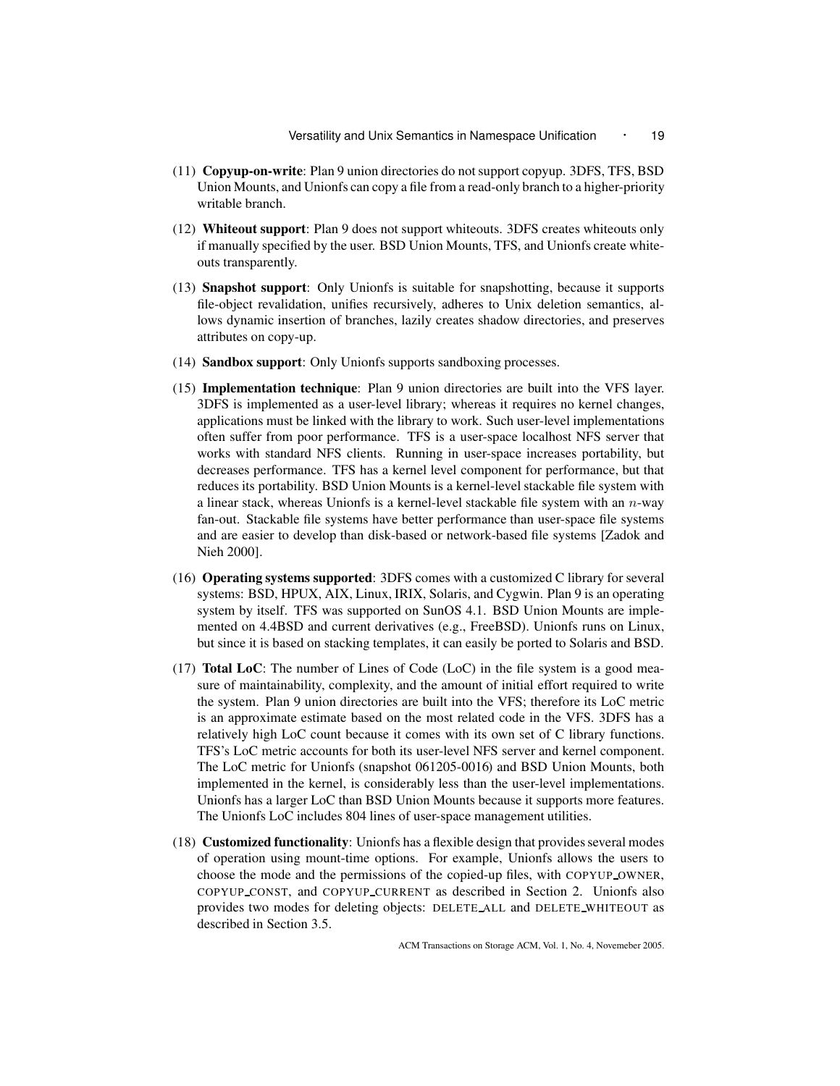- (11) **Copyup-on-write**: Plan 9 union directories do not support copyup. 3DFS, TFS, BSD Union Mounts, and Unionfs can copy a file from a read-only branch to a higher-priority writable branch.
- (12) **Whiteout support**: Plan 9 does not support whiteouts. 3DFS creates whiteouts only if manually specified by the user. BSD Union Mounts, TFS, and Unionfs create whiteouts transparently.
- (13) **Snapshot support**: Only Unionfs is suitable for snapshotting, because it supports file-object revalidation, unifies recursively, adheres to Unix deletion semantics, allows dynamic insertion of branches, lazily creates shadow directories, and preserves attributes on copy-up.
- (14) **Sandbox support**: Only Unionfs supports sandboxing processes.
- (15) **Implementation technique**: Plan 9 union directories are built into the VFS layer. 3DFS is implemented as a user-level library; whereas it requires no kernel changes, applications must be linked with the library to work. Such user-level implementations often suffer from poor performance. TFS is a user-space localhost NFS server that works with standard NFS clients. Running in user-space increases portability, but decreases performance. TFS has a kernel level component for performance, but that reduces its portability. BSD Union Mounts is a kernel-level stackable file system with a linear stack, whereas Unionfs is a kernel-level stackable file system with an  $n$ -way fan-out. Stackable file systems have better performance than user-space file systems and are easier to develop than disk-based or network-based file systems [Zadok and Nieh 2000].
- (16) **Operating systems supported**: 3DFS comes with a customized C library for several systems: BSD, HPUX, AIX, Linux, IRIX, Solaris, and Cygwin. Plan 9 is an operating system by itself. TFS was supported on SunOS 4.1. BSD Union Mounts are implemented on 4.4BSD and current derivatives (e.g., FreeBSD). Unionfs runs on Linux, but since it is based on stacking templates, it can easily be ported to Solaris and BSD.
- (17) **Total LoC**: The number of Lines of Code (LoC) in the file system is a good measure of maintainability, complexity, and the amount of initial effort required to write the system. Plan 9 union directories are built into the VFS; therefore its LoC metric is an approximate estimate based on the most related code in the VFS. 3DFS has a relatively high LoC count because it comes with its own set of C library functions. TFS's LoC metric accounts for both its user-level NFS server and kernel component. The LoC metric for Unionfs (snapshot 061205-0016) and BSD Union Mounts, both implemented in the kernel, is considerably less than the user-level implementations. Unionfs has a larger LoC than BSD Union Mounts because it supports more features. The Unionfs LoC includes 804 lines of user-space management utilities.
- (18) **Customized functionality**: Unionfs has a flexible design that providesseveral modes of operation using mount-time options. For example, Unionfs allows the users to choose the mode and the permissions of the copied-up files, with COPYUP OWNER, COPYUP CONST, and COPYUP CURRENT as described in Section 2. Unionfs also provides two modes for deleting objects: DELETE ALL and DELETE WHITEOUT as described in Section 3.5.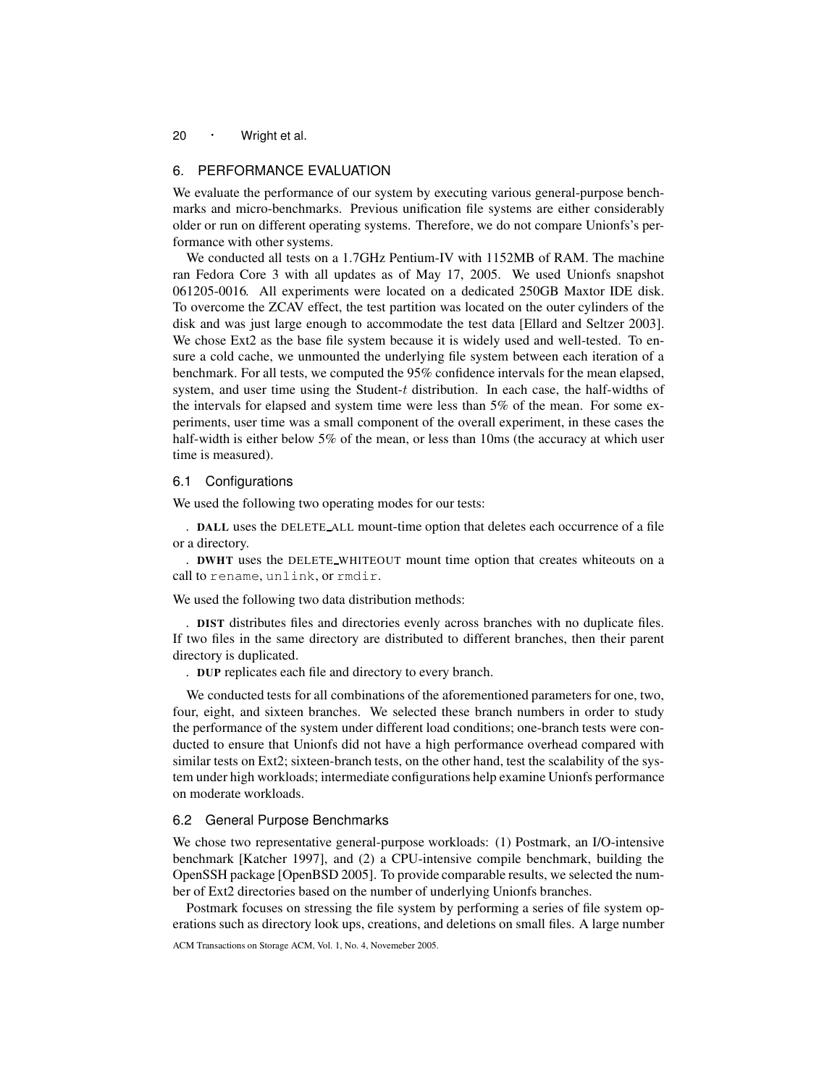## 6. PERFORMANCE EVALUATION

We evaluate the performance of our system by executing various general-purpose benchmarks and micro-benchmarks. Previous unification file systems are either considerably older or run on different operating systems. Therefore, we do not compare Unionfs's performance with other systems.

We conducted all tests on a 1.7GHz Pentium-IV with 1152MB of RAM. The machine ran Fedora Core 3 with all updates as of May 17, 2005. We used Unionfs snapshot 061205-0016. All experiments were located on a dedicated 250GB Maxtor IDE disk. To overcome the ZCAV effect, the test partition was located on the outer cylinders of the disk and was just large enough to accommodate the test data [Ellard and Seltzer 2003]. We chose Ext2 as the base file system because it is widely used and well-tested. To ensure a cold cache, we unmounted the underlying file system between each iteration of a benchmark. For all tests, we computed the 95% confidence intervals for the mean elapsed, system, and user time using the Student-t distribution. In each case, the half-widths of the intervals for elapsed and system time were less than 5% of the mean. For some experiments, user time was a small component of the overall experiment, in these cases the half-width is either below 5% of the mean, or less than 10ms (the accuracy at which user time is measured).

# 6.1 Configurations

We used the following two operating modes for our tests:

*.* **DALL** uses the DELETE ALL mount-time option that deletes each occurrence of a file or a directory.

*.* **DWHT** uses the DELETE WHITEOUT mount time option that creates whiteouts on a call to rename, unlink, or rmdir.

We used the following two data distribution methods:

*.* **DIST** distributes files and directories evenly across branches with no duplicate files. If two files in the same directory are distributed to different branches, then their parent directory is duplicated.

*.* **DUP** replicates each file and directory to every branch.

We conducted tests for all combinations of the aforementioned parameters for one, two, four, eight, and sixteen branches. We selected these branch numbers in order to study the performance of the system under different load conditions; one-branch tests were conducted to ensure that Unionfs did not have a high performance overhead compared with similar tests on Ext2; sixteen-branch tests, on the other hand, test the scalability of the system under high workloads; intermediate configurations help examine Unionfs performance on moderate workloads.

## 6.2 General Purpose Benchmarks

We chose two representative general-purpose workloads: (1) Postmark, an I/O-intensive benchmark [Katcher 1997], and (2) a CPU-intensive compile benchmark, building the OpenSSH package [OpenBSD 2005]. To provide comparable results, we selected the number of Ext2 directories based on the number of underlying Unionfs branches.

Postmark focuses on stressing the file system by performing a series of file system operations such as directory look ups, creations, and deletions on small files. A large number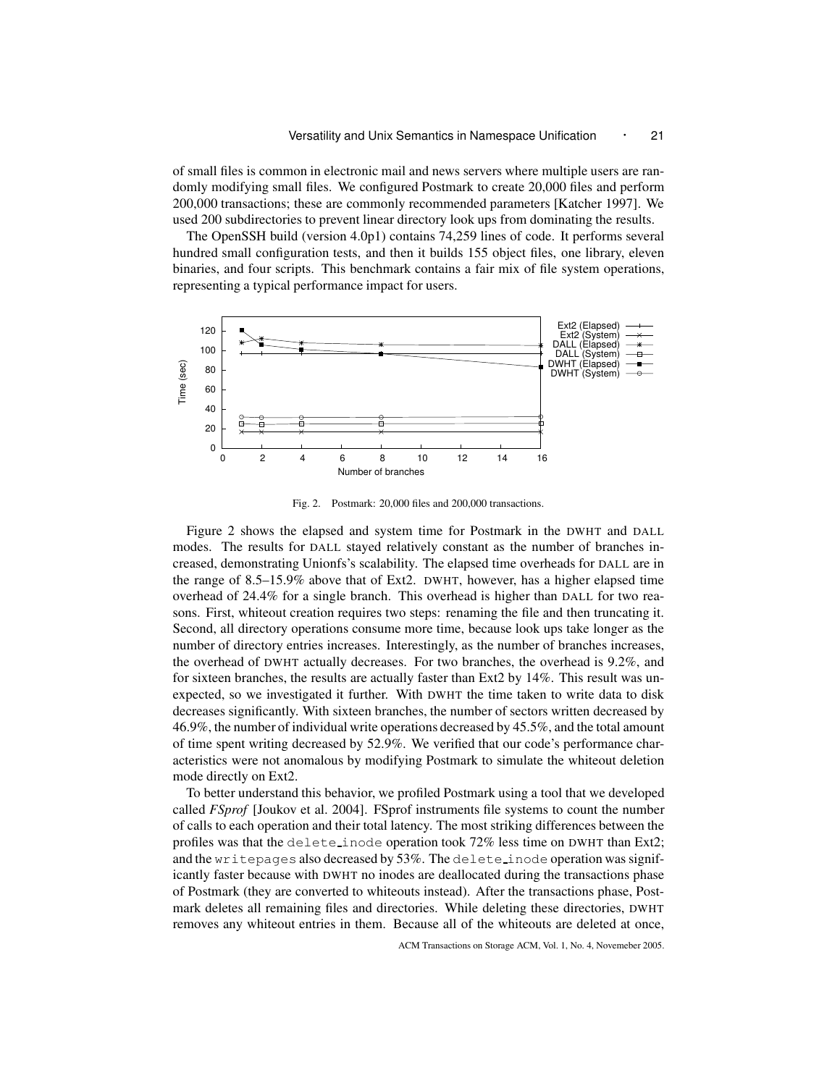of small files is common in electronic mail and news servers where multiple users are randomly modifying small files. We configured Postmark to create 20,000 files and perform 200,000 transactions; these are commonly recommended parameters [Katcher 1997]. We used 200 subdirectories to prevent linear directory look ups from dominating the results.

The OpenSSH build (version 4.0p1) contains 74,259 lines of code. It performs several hundred small configuration tests, and then it builds 155 object files, one library, eleven binaries, and four scripts. This benchmark contains a fair mix of file system operations, representing a typical performance impact for users.



Fig. 2. Postmark: 20,000 files and 200,000 transactions.

Figure 2 shows the elapsed and system time for Postmark in the DWHT and DALL modes. The results for DALL stayed relatively constant as the number of branches increased, demonstrating Unionfs's scalability. The elapsed time overheads for DALL are in the range of 8.5–15.9% above that of Ext2. DWHT, however, has a higher elapsed time overhead of 24.4% for a single branch. This overhead is higher than DALL for two reasons. First, whiteout creation requires two steps: renaming the file and then truncating it. Second, all directory operations consume more time, because look ups take longer as the number of directory entries increases. Interestingly, as the number of branches increases, the overhead of DWHT actually decreases. For two branches, the overhead is 9.2%, and for sixteen branches, the results are actually faster than Ext2 by 14%. This result was unexpected, so we investigated it further. With DWHT the time taken to write data to disk decreases significantly. With sixteen branches, the number of sectors written decreased by 46.9%, the number of individual write operations decreased by 45.5%, and the total amount of time spent writing decreased by 52.9%. We verified that our code's performance characteristics were not anomalous by modifying Postmark to simulate the whiteout deletion mode directly on Ext2.

To better understand this behavior, we profiled Postmark using a tool that we developed called *FSprof* [Joukov et al. 2004]. FSprof instruments file systems to count the number of calls to each operation and their total latency. The most striking differences between the profiles was that the delete inode operation took 72% less time on DWHT than Ext2; and the writepages also decreased by 53%. The delete inode operation was significantly faster because with DWHT no inodes are deallocated during the transactions phase of Postmark (they are converted to whiteouts instead). After the transactions phase, Postmark deletes all remaining files and directories. While deleting these directories, DWHT removes any whiteout entries in them. Because all of the whiteouts are deleted at once,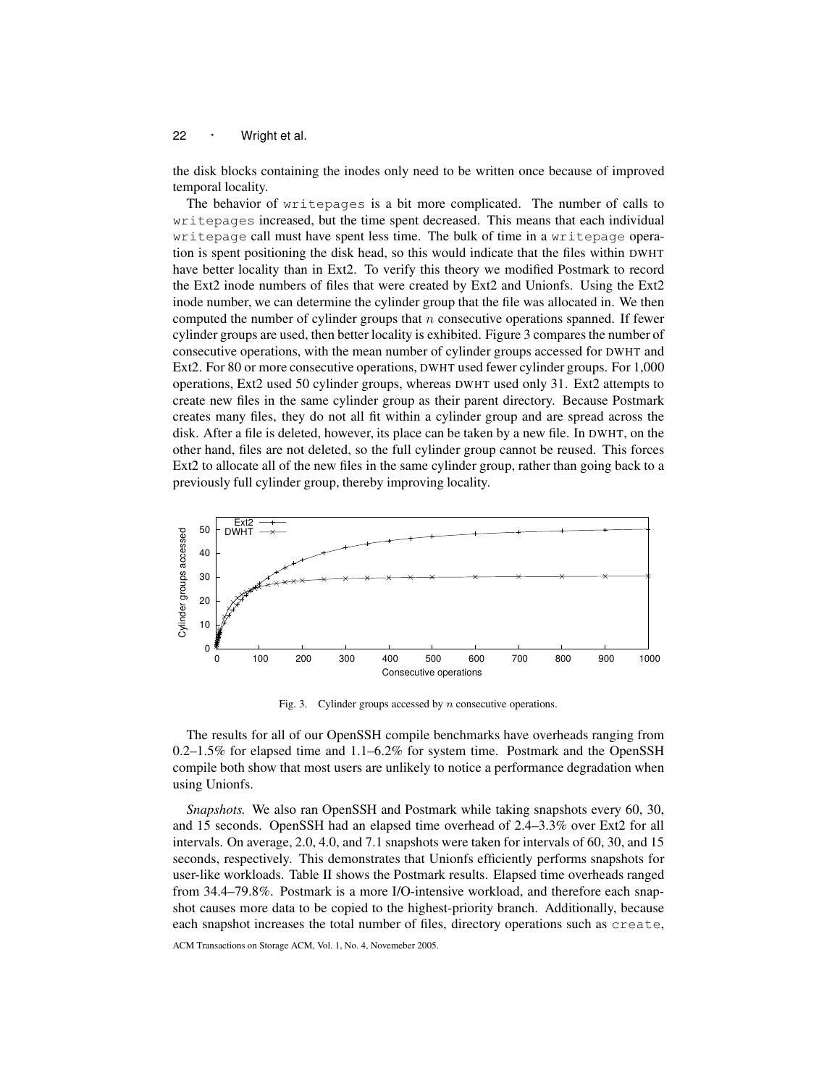the disk blocks containing the inodes only need to be written once because of improved temporal locality.

The behavior of writepages is a bit more complicated. The number of calls to writepages increased, but the time spent decreased. This means that each individual writepage call must have spent less time. The bulk of time in a writepage operation is spent positioning the disk head, so this would indicate that the files within DWHT have better locality than in Ext2. To verify this theory we modified Postmark to record the Ext2 inode numbers of files that were created by Ext2 and Unionfs. Using the Ext2 inode number, we can determine the cylinder group that the file was allocated in. We then computed the number of cylinder groups that  $n$  consecutive operations spanned. If fewer cylinder groups are used, then better locality is exhibited. Figure 3 compares the number of consecutive operations, with the mean number of cylinder groups accessed for DWHT and Ext2. For 80 or more consecutive operations, DWHT used fewer cylinder groups. For 1,000 operations, Ext2 used 50 cylinder groups, whereas DWHT used only 31. Ext2 attempts to create new files in the same cylinder group as their parent directory. Because Postmark creates many files, they do not all fit within a cylinder group and are spread across the disk. After a file is deleted, however, its place can be taken by a new file. In DWHT, on the other hand, files are not deleted, so the full cylinder group cannot be reused. This forces Ext<sub>2</sub> to allocate all of the new files in the same cylinder group, rather than going back to a previously full cylinder group, thereby improving locality.



Fig. 3. Cylinder groups accessed by  $n$  consecutive operations.

The results for all of our OpenSSH compile benchmarks have overheads ranging from 0.2–1.5% for elapsed time and 1.1–6.2% for system time. Postmark and the OpenSSH compile both show that most users are unlikely to notice a performance degradation when using Unionfs.

*Snapshots.* We also ran OpenSSH and Postmark while taking snapshots every 60, 30, and 15 seconds. OpenSSH had an elapsed time overhead of 2.4–3.3% over Ext2 for all intervals. On average, 2.0, 4.0, and 7.1 snapshots were taken for intervals of 60, 30, and 15 seconds, respectively. This demonstrates that Unionfs efficiently performs snapshots for user-like workloads. Table II shows the Postmark results. Elapsed time overheads ranged from 34.4–79.8%. Postmark is a more I/O-intensive workload, and therefore each snapshot causes more data to be copied to the highest-priority branch. Additionally, because each snapshot increases the total number of files, directory operations such as create,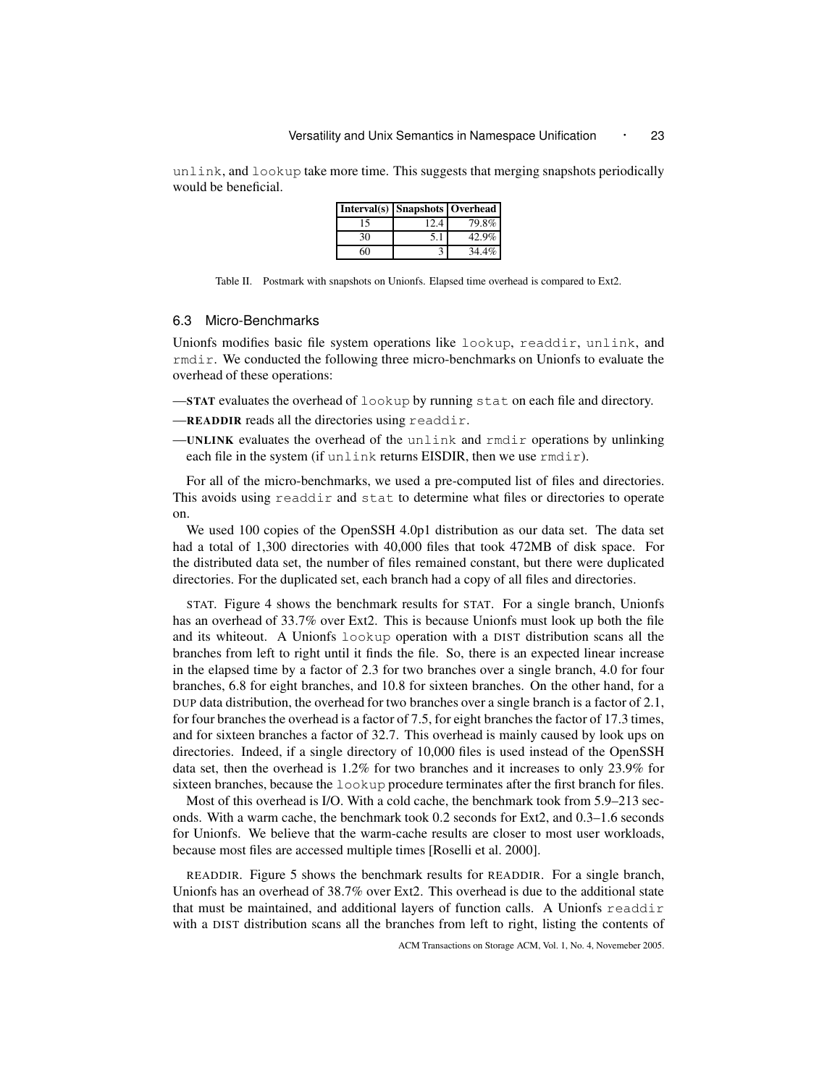unlink, and lookup take more time. This suggests that merging snapshots periodically would be beneficial.

|    | Interval(s) Snapshots   Overhead |       |
|----|----------------------------------|-------|
|    | 12.4                             | 79.8% |
| 30 | 5.1                              | 42.9% |
|    |                                  | 34.4% |

Table II. Postmark with snapshots on Unionfs. Elapsed time overhead is compared to Ext2.

## 6.3 Micro-Benchmarks

Unionfs modifies basic file system operations like lookup, readdir, unlink, and rmdir. We conducted the following three micro-benchmarks on Unionfs to evaluate the overhead of these operations:

- —**STAT** evaluates the overhead of lookup by running stat on each file and directory.
- —**READDIR** reads all the directories using readdir.
- —**UNLINK** evaluates the overhead of the unlink and rmdir operations by unlinking each file in the system (if unlink returns EISDIR, then we use rmdir).

For all of the micro-benchmarks, we used a pre-computed list of files and directories. This avoids using readdir and stat to determine what files or directories to operate on.

We used 100 copies of the OpenSSH 4.0p1 distribution as our data set. The data set had a total of 1,300 directories with 40,000 files that took 472MB of disk space. For the distributed data set, the number of files remained constant, but there were duplicated directories. For the duplicated set, each branch had a copy of all files and directories.

STAT*.* Figure 4 shows the benchmark results for STAT. For a single branch, Unionfs has an overhead of 33.7% over Ext2. This is because Unionfs must look up both the file and its whiteout. A Unionfs lookup operation with a DIST distribution scans all the branches from left to right until it finds the file. So, there is an expected linear increase in the elapsed time by a factor of 2.3 for two branches over a single branch, 4.0 for four branches, 6.8 for eight branches, and 10.8 for sixteen branches. On the other hand, for a DUP data distribution, the overhead for two branches over a single branch is a factor of 2.1, for four branches the overhead is a factor of 7.5, for eight branches the factor of 17.3 times, and for sixteen branches a factor of 32.7. This overhead is mainly caused by look ups on directories. Indeed, if a single directory of 10,000 files is used instead of the OpenSSH data set, then the overhead is 1.2% for two branches and it increases to only 23.9% for sixteen branches, because the lookup procedure terminates after the first branch for files.

Most of this overhead is I/O. With a cold cache, the benchmark took from 5.9–213 seconds. With a warm cache, the benchmark took 0.2 seconds for Ext2, and 0.3–1.6 seconds for Unionfs. We believe that the warm-cache results are closer to most user workloads, because most files are accessed multiple times [Roselli et al. 2000].

READDIR*.* Figure 5 shows the benchmark results for READDIR. For a single branch, Unionfs has an overhead of 38.7% over Ext2. This overhead is due to the additional state that must be maintained, and additional layers of function calls. A Unionfs readdir with a DIST distribution scans all the branches from left to right, listing the contents of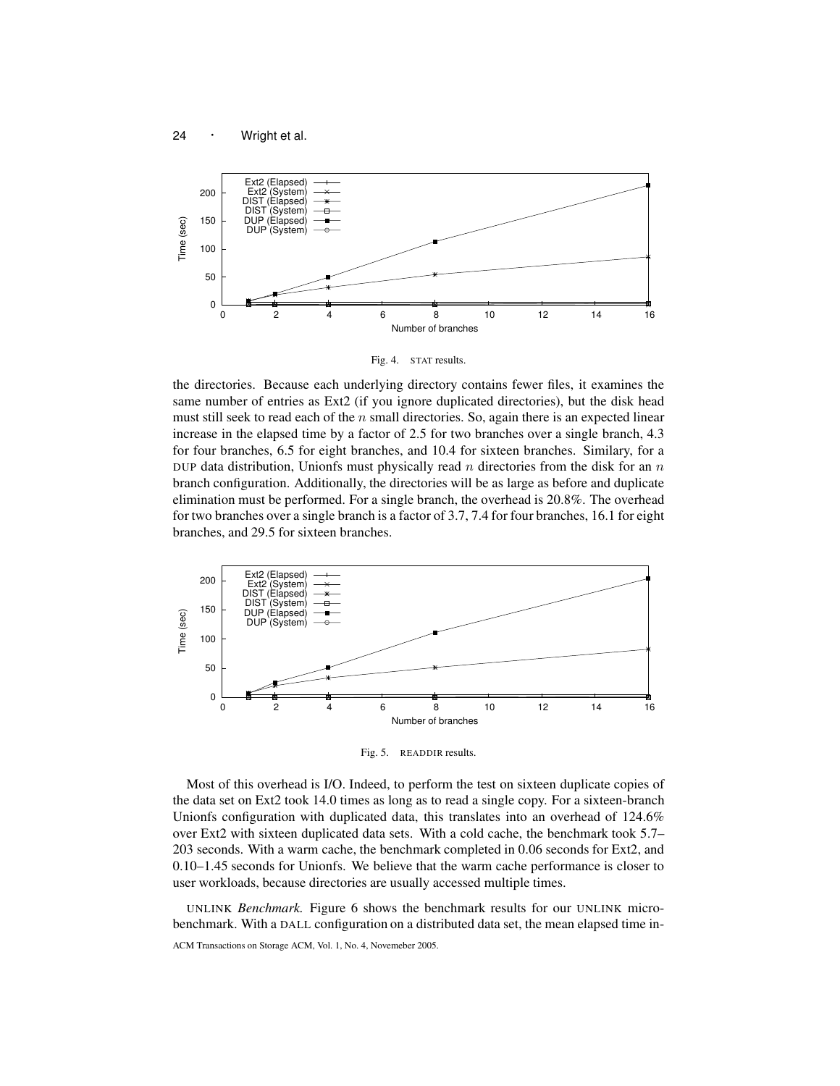

Fig. 4. STAT results.

the directories. Because each underlying directory contains fewer files, it examines the same number of entries as Ext2 (if you ignore duplicated directories), but the disk head must still seek to read each of the  $n$  small directories. So, again there is an expected linear increase in the elapsed time by a factor of 2.5 for two branches over a single branch, 4.3 for four branches, 6.5 for eight branches, and 10.4 for sixteen branches. Similary, for a DUP data distribution, Unionfs must physically read  $n$  directories from the disk for an  $n$ branch configuration. Additionally, the directories will be as large as before and duplicate elimination must be performed. For a single branch, the overhead is 20.8%. The overhead for two branches over a single branch is a factor of 3.7, 7.4 for four branches, 16.1 for eight branches, and 29.5 for sixteen branches.



Fig. 5. READDIR results.

Most of this overhead is I/O. Indeed, to perform the test on sixteen duplicate copies of the data set on Ext2 took 14.0 times as long as to read a single copy. For a sixteen-branch Unionfs configuration with duplicated data, this translates into an overhead of 124.6% over Ext2 with sixteen duplicated data sets. With a cold cache, the benchmark took 5.7– 203 seconds. With a warm cache, the benchmark completed in 0.06 seconds for Ext2, and 0.10–1.45 seconds for Unionfs. We believe that the warm cache performance is closer to user workloads, because directories are usually accessed multiple times.

UNLINK *Benchmark.* Figure 6 shows the benchmark results for our UNLINK microbenchmark. With a DALL configuration on a distributed data set, the mean elapsed time in-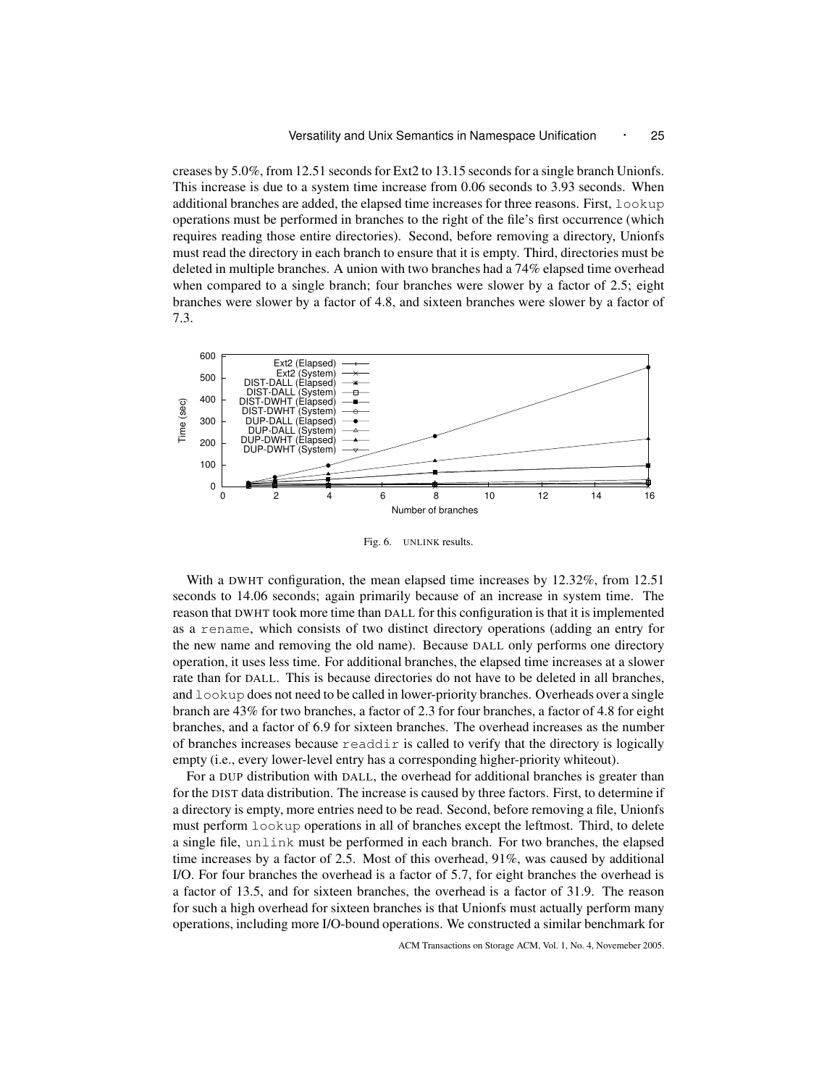creases by 5.0%, from 12.51 secondsfor Ext2 to 13.15 secondsfor a single branch Unionfs. This increase is due to a system time increase from 0.06 seconds to 3.93 seconds. When additional branches are added, the elapsed time increases for three reasons. First,  $100kup$ operations must be performed in branches to the right of the file's first occurrence (which requires reading those entire directories). Second, before removing a directory, Unionfs must read the directory in each branch to ensure that it is empty. Third, directories must be deleted in multiple branches. A union with two branches had a 74% elapsed time overhead when compared to a single branch; four branches were slower by a factor of 2.5; eight branches were slower by a factor of 4.8, and sixteen branches were slower by a factor of 7.3.



Fig. 6. UNLINK results.

With a DWHT configuration, the mean elapsed time increases by 12.32%, from 12.51 seconds to 14.06 seconds; again primarily because of an increase in system time. The reason that DWHT took more time than DALL for this configuration is that it is implemented as a rename, which consists of two distinct directory operations (adding an entry for the new name and removing the old name). Because DALL only performs one directory operation, it uses less time. For additional branches, the elapsed time increases at a slower rate than for DALL. This is because directories do not have to be deleted in all branches, and lookup does not need to be called in lower-priority branches. Overheads over a single branch are 43% for two branches, a factor of 2.3 for four branches, a factor of 4.8 for eight branches, and a factor of 6.9 for sixteen branches. The overhead increases as the number of branches increases because readdir is called to verify that the directory is logically empty (i.e., every lower-level entry has a corresponding higher-priority whiteout).

For a DUP distribution with DALL, the overhead for additional branches is greater than for the DIST data distribution. The increase is caused by three factors. First, to determine if a directory is empty, more entries need to be read. Second, before removing a file, Unionfs must perform lookup operations in all of branches except the leftmost. Third, to delete a single file, unlink must be performed in each branch. For two branches, the elapsed time increases by a factor of 2.5. Most of this overhead, 91%, was caused by additional I/O. For four branches the overhead is a factor of 5.7, for eight branches the overhead is a factor of 13.5, and for sixteen branches, the overhead is a factor of 31.9. The reason for such a high overhead for sixteen branches is that Unionfs must actually perform many operations, including more I/O-bound operations. We constructed a similar benchmark for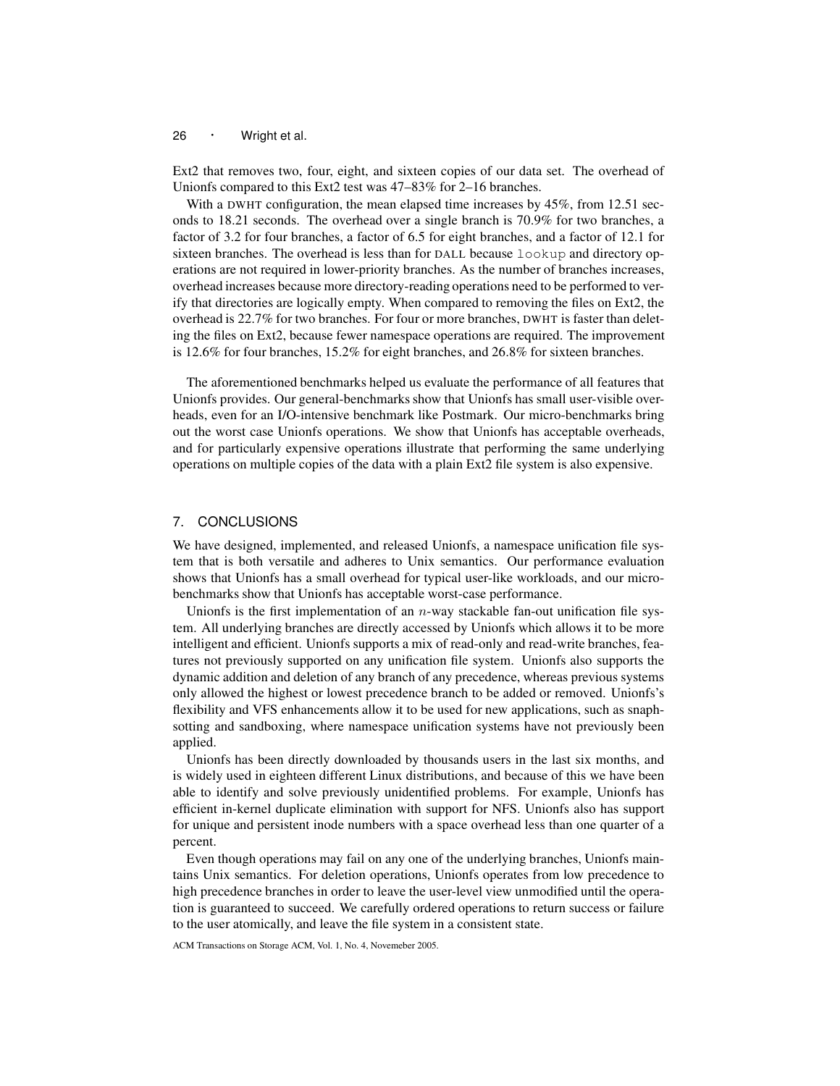Ext2 that removes two, four, eight, and sixteen copies of our data set. The overhead of Unionfs compared to this Ext2 test was 47–83% for 2–16 branches.

With a DWHT configuration, the mean elapsed time increases by 45%, from 12.51 seconds to 18.21 seconds. The overhead over a single branch is 70.9% for two branches, a factor of 3.2 for four branches, a factor of 6.5 for eight branches, and a factor of 12.1 for sixteen branches. The overhead is less than for DALL because lookup and directory operations are not required in lower-priority branches. As the number of branches increases, overhead increases because more directory-reading operations need to be performed to verify that directories are logically empty. When compared to removing the files on Ext2, the overhead is 22.7% for two branches. For four or more branches, DWHT is faster than deleting the files on Ext2, because fewer namespace operations are required. The improvement is 12.6% for four branches, 15.2% for eight branches, and 26.8% for sixteen branches.

The aforementioned benchmarks helped us evaluate the performance of all features that Unionfs provides. Our general-benchmarksshow that Unionfs has small user-visible overheads, even for an I/O-intensive benchmark like Postmark. Our micro-benchmarks bring out the worst case Unionfs operations. We show that Unionfs has acceptable overheads, and for particularly expensive operations illustrate that performing the same underlying operations on multiple copies of the data with a plain Ext2 file system is also expensive.

# 7. CONCLUSIONS

We have designed, implemented, and released Unionfs, a namespace unification file system that is both versatile and adheres to Unix semantics. Our performance evaluation shows that Unionfs has a small overhead for typical user-like workloads, and our microbenchmarks show that Unionfs has acceptable worst-case performance.

Unionfs is the first implementation of an  $n$ -way stackable fan-out unification file system. All underlying branches are directly accessed by Unionfs which allows it to be more intelligent and efficient. Unionfs supports a mix of read-only and read-write branches, features not previously supported on any unification file system. Unionfs also supports the dynamic addition and deletion of any branch of any precedence, whereas previous systems only allowed the highest or lowest precedence branch to be added or removed. Unionfs's flexibility and VFS enhancements allow it to be used for new applications, such as snaphsotting and sandboxing, where namespace unification systems have not previously been applied.

Unionfs has been directly downloaded by thousands users in the last six months, and is widely used in eighteen different Linux distributions, and because of this we have been able to identify and solve previously unidentified problems. For example, Unionfs has efficient in-kernel duplicate elimination with support for NFS. Unionfs also has support for unique and persistent inode numbers with a space overhead less than one quarter of a percent.

Even though operations may fail on any one of the underlying branches, Unionfs maintains Unix semantics. For deletion operations, Unionfs operates from low precedence to high precedence branches in order to leave the user-level view unmodified until the operation is guaranteed to succeed. We carefully ordered operations to return success or failure to the user atomically, and leave the file system in a consistent state.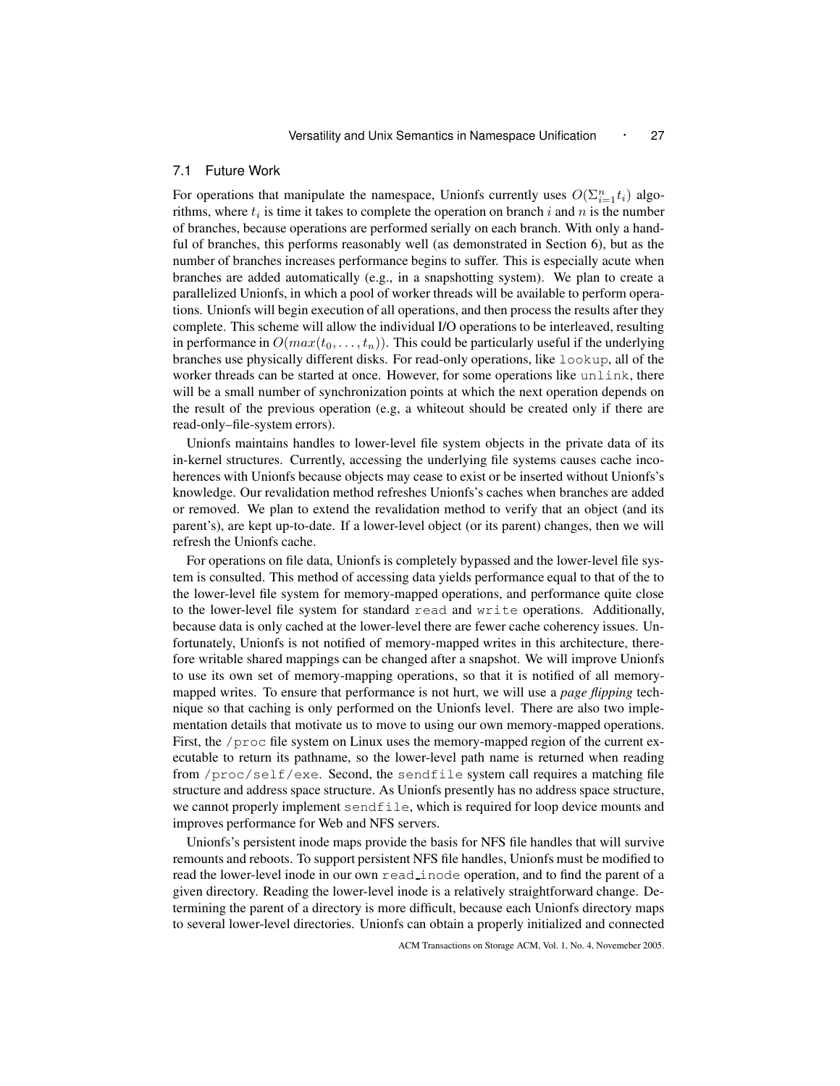#### 7.1 Future Work

For operations that manipulate the namespace, Unionfs currently uses  $O(\sum_{i=1}^n t_i)$  algorithms, where  $t_i$  is time it takes to complete the operation on branch i and n is the number of branches, because operations are performed serially on each branch. With only a handful of branches, this performs reasonably well (as demonstrated in Section 6), but as the number of branches increases performance begins to suffer. This is especially acute when branches are added automatically (e.g., in a snapshotting system). We plan to create a parallelized Unionfs, in which a pool of worker threads will be available to perform operations. Unionfs will begin execution of all operations, and then process the results after they complete. This scheme will allow the individual I/O operations to be interleaved, resulting in performance in  $O(max(t_0, \ldots, t_n))$ . This could be particularly useful if the underlying branches use physically different disks. For read-only operations, like lookup, all of the worker threads can be started at once. However, for some operations like unlink, there will be a small number of synchronization points at which the next operation depends on the result of the previous operation (e.g, a whiteout should be created only if there are read-only–file-system errors).

Unionfs maintains handles to lower-level file system objects in the private data of its in-kernel structures. Currently, accessing the underlying file systems causes cache incoherences with Unionfs because objects may cease to exist or be inserted without Unionfs's knowledge. Our revalidation method refreshes Unionfs's caches when branches are added or removed. We plan to extend the revalidation method to verify that an object (and its parent's), are kept up-to-date. If a lower-level object (or its parent) changes, then we will refresh the Unionfs cache.

For operations on file data, Unionfs is completely bypassed and the lower-level file system is consulted. This method of accessing data yields performance equal to that of the to the lower-level file system for memory-mapped operations, and performance quite close to the lower-level file system for standard read and write operations. Additionally, because data is only cached at the lower-level there are fewer cache coherency issues. Unfortunately, Unionfs is not notified of memory-mapped writes in this architecture, therefore writable shared mappings can be changed after a snapshot. We will improve Unionfs to use its own set of memory-mapping operations, so that it is notified of all memorymapped writes. To ensure that performance is not hurt, we will use a *page flipping* technique so that caching is only performed on the Unionfs level. There are also two implementation details that motivate us to move to using our own memory-mapped operations. First, the /proc file system on Linux uses the memory-mapped region of the current executable to return its pathname, so the lower-level path name is returned when reading from /proc/self/exe. Second, the sendfile system call requires a matching file structure and address space structure. As Unionfs presently has no address space structure, we cannot properly implement sendfile, which is required for loop device mounts and improves performance for Web and NFS servers.

Unionfs's persistent inode maps provide the basis for NFS file handles that will survive remounts and reboots. To support persistent NFS file handles, Unionfs must be modified to read the lower-level inode in our own read inode operation, and to find the parent of a given directory. Reading the lower-level inode is a relatively straightforward change. Determining the parent of a directory is more difficult, because each Unionfs directory maps to several lower-level directories. Unionfs can obtain a properly initialized and connected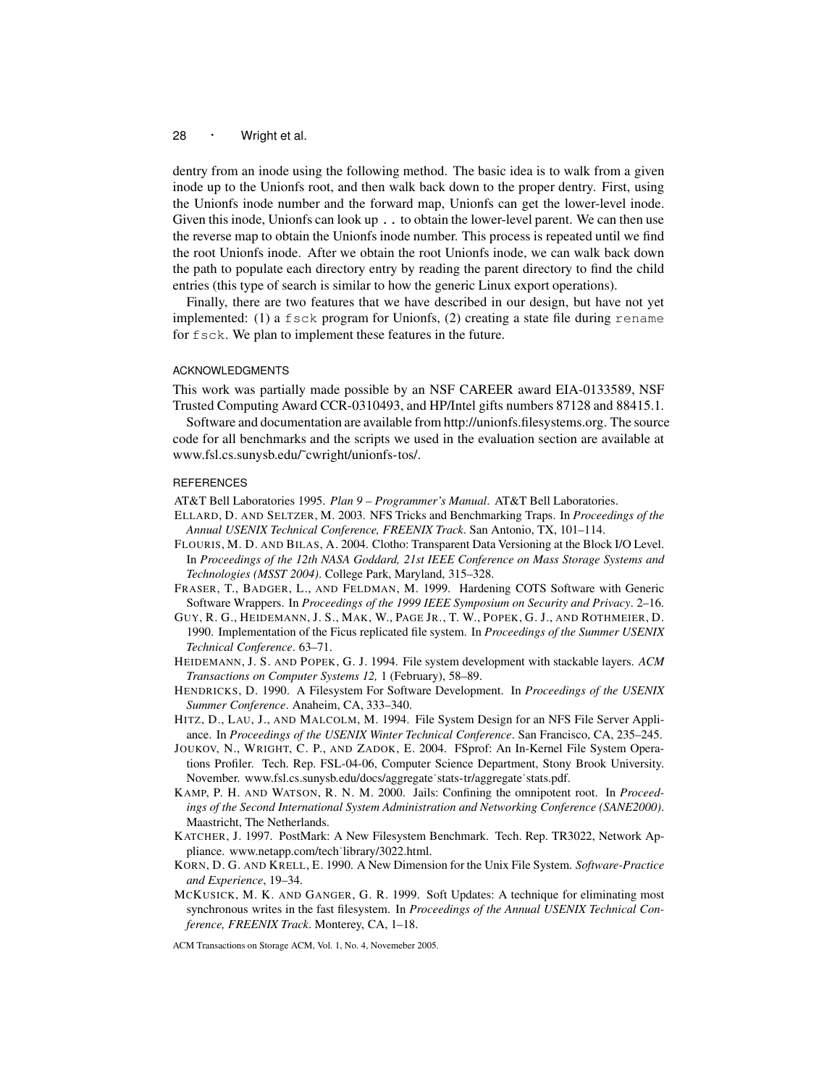dentry from an inode using the following method. The basic idea is to walk from a given inode up to the Unionfs root, and then walk back down to the proper dentry. First, using the Unionfs inode number and the forward map, Unionfs can get the lower-level inode. Given this inode, Unionfs can look up .. to obtain the lower-level parent. We can then use the reverse map to obtain the Unionfs inode number. This process is repeated until we find the root Unionfs inode. After we obtain the root Unionfs inode, we can walk back down the path to populate each directory entry by reading the parent directory to find the child entries (this type of search is similar to how the generic Linux export operations).

Finally, there are two features that we have described in our design, but have not yet implemented: (1) a  $f \leq k$  program for Unionfs, (2) creating a state file during rename for fsck. We plan to implement these features in the future.

#### ACKNOWLEDGMENTS

This work was partially made possible by an NSF CAREER award EIA-0133589, NSF Trusted Computing Award CCR-0310493, and HP/Intel gifts numbers 87128 and 88415.1.

Software and documentation are available from http://unionfs.filesystems.org. The source code for all benchmarks and the scripts we used in the evaluation section are available at www.fsl.cs.sunysb.edu/˜cwright/unionfs-tos/.

#### REFERENCES

AT&T Bell Laboratories 1995. *Plan 9 – Programmer's Manual*. AT&T Bell Laboratories.

- ELLARD, D. AND SELTZER, M. 2003. NFS Tricks and Benchmarking Traps. In *Proceedings of the Annual USENIX Technical Conference, FREENIX Track*. San Antonio, TX, 101–114.
- FLOURIS, M. D. AND BILAS, A. 2004. Clotho: Transparent Data Versioning at the Block I/O Level. In *Proceedings of the 12th NASA Goddard, 21st IEEE Conference on Mass Storage Systems and Technologies (MSST 2004)*. College Park, Maryland, 315–328.
- FRASER, T., BADGER, L., AND FELDMAN, M. 1999. Hardening COTS Software with Generic Software Wrappers. In *Proceedings of the 1999 IEEE Symposium on Security and Privacy*. 2–16.
- GUY, R. G., HEIDEMANN, J. S., MAK, W., PAGE JR., T. W., POPEK, G. J., AND ROTHMEIER, D. 1990. Implementation of the Ficus replicated file system. In *Proceedings of the Summer USENIX Technical Conference*. 63–71.
- HEIDEMANN, J. S. AND POPEK, G. J. 1994. File system development with stackable layers. *ACM Transactions on Computer Systems 12,* 1 (February), 58–89.
- HENDRICKS, D. 1990. A Filesystem For Software Development. In *Proceedings of the USENIX Summer Conference*. Anaheim, CA, 333–340.
- HITZ, D., LAU, J., AND MALCOLM, M. 1994. File System Design for an NFS File Server Appliance. In *Proceedings of the USENIX Winter Technical Conference*. San Francisco, CA, 235–245.
- JOUKOV, N., WRIGHT, C. P., AND ZADOK, E. 2004. FSprof: An In-Kernel File System Operations Profiler. Tech. Rep. FSL-04-06, Computer Science Department, Stony Brook University. November. www.fsl.cs.sunysb.edu/docs/aggregate˙stats-tr/aggregate˙stats.pdf.
- KAMP, P. H. AND WATSON, R. N. M. 2000. Jails: Confining the omnipotent root. In *Proceedings of the Second International System Administration and Networking Conference (SANE2000)*. Maastricht, The Netherlands.
- KATCHER, J. 1997. PostMark: A New Filesystem Benchmark. Tech. Rep. TR3022, Network Appliance. www.netapp.com/tech˙library/3022.html.
- KORN, D. G. AND KRELL, E. 1990. A New Dimension for the Unix File System. *Software-Practice and Experience*, 19–34.
- MCKUSICK, M. K. AND GANGER, G. R. 1999. Soft Updates: A technique for eliminating most synchronous writes in the fast filesystem. In *Proceedings of the Annual USENIX Technical Conference, FREENIX Track*. Monterey, CA, 1–18.